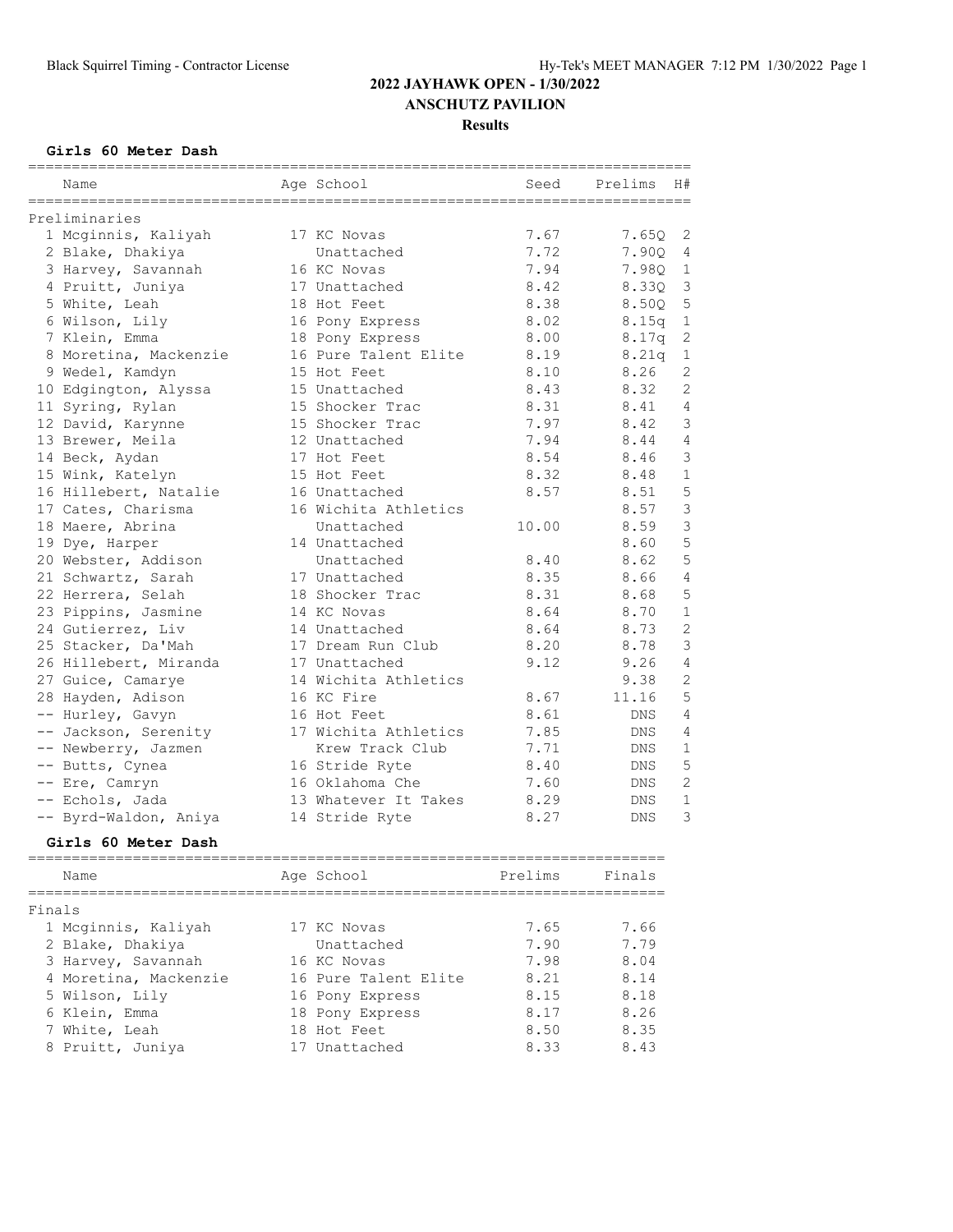#### **Girls 60 Meter Dash**

| Name<br>================================ | Age School           | Seed  | Prelims    | H#             |
|------------------------------------------|----------------------|-------|------------|----------------|
| Preliminaries                            |                      |       |            |                |
| 1 Mcginnis, Kaliyah                      | 17 KC Novas          | 7.67  | 7.650      | 2              |
| 2 Blake, Dhakiya                         | Unattached           | 7.72  | 7.90Q      | 4              |
| 3 Harvey, Savannah                       | 16 KC Novas          | 7.94  | 7.980      | $\mathbf{1}$   |
| 4 Pruitt, Juniya                         | 17 Unattached        | 8.42  | 8.330      | 3              |
| 5 White, Leah                            | 18 Hot Feet          | 8.38  | 8.500      | 5              |
| 6 Wilson, Lily                           | 16 Pony Express      | 8.02  | 8.15q      | $\mathbf{1}$   |
| 7 Klein, Emma                            | 18 Pony Express      | 8.00  | 8.17q      | $\mathbf{2}$   |
| 8 Moretina, Mackenzie                    | 16 Pure Talent Elite | 8.19  | 8.21q      | $\mathbf{1}$   |
| 9 Wedel, Kamdyn                          | 15 Hot Feet          | 8.10  | 8.26       | $\overline{2}$ |
| 10 Edgington, Alyssa                     | 15 Unattached        | 8.43  | 8.32       | 2              |
| 11 Syring, Rylan                         | 15 Shocker Trac      | 8.31  | 8.41       | $\overline{4}$ |
| 12 David, Karynne                        | 15 Shocker Trac      | 7.97  | 8.42       | 3              |
| 13 Brewer, Meila                         | 12 Unattached        | 7.94  | 8.44       | 4              |
| 14 Beck, Aydan                           | 17 Hot Feet          | 8.54  | 8.46       | 3              |
| 15 Wink, Katelyn                         | 15 Hot Feet          | 8.32  | 8.48       | $\mathbf{1}$   |
| 16 Hillebert, Natalie                    | 16 Unattached        | 8.57  | 8.51       | 5              |
| 17 Cates, Charisma                       | 16 Wichita Athletics |       | 8.57       | $\mathfrak{Z}$ |
| 18 Maere, Abrina                         | Unattached           | 10.00 | 8.59       | 3              |
| 19 Dye, Harper                           | 14 Unattached        |       | 8.60       | 5              |
| 20 Webster, Addison                      | Unattached           | 8.40  | 8.62       | 5              |
| 21 Schwartz, Sarah                       | 17 Unattached        | 8.35  | 8.66       | 4              |
| 22 Herrera, Selah                        | 18 Shocker Trac      | 8.31  | 8.68       | 5              |
| 23 Pippins, Jasmine                      | 14 KC Novas          | 8.64  | 8.70       | $\mathbf{1}$   |
| 24 Gutierrez, Liv                        | 14 Unattached        | 8.64  | 8.73       | $\overline{c}$ |
| 25 Stacker, Da'Mah                       | 17 Dream Run Club    | 8.20  | 8.78       | 3              |
| 26 Hillebert, Miranda                    | 17 Unattached        | 9.12  | 9.26       | $\overline{4}$ |
| 27 Guice, Camarye                        | 14 Wichita Athletics |       | 9.38       | $\overline{2}$ |
| 28 Hayden, Adison                        | 16 KC Fire           | 8.67  | 11.16      | 5              |
| -- Hurley, Gavyn                         | 16 Hot Feet          | 8.61  | <b>DNS</b> | 4              |
| -- Jackson, Serenity                     | 17 Wichita Athletics | 7.85  | DNS        | 4              |
| -- Newberry, Jazmen                      | Krew Track Club      | 7.71  | DNS        | $\mathbf{1}$   |
| -- Butts, Cynea                          | 16 Stride Ryte       | 8.40  | <b>DNS</b> | 5              |
| -- Ere, Camryn                           | 16 Oklahoma Che      | 7.60  | DNS        | $\mathbf{2}$   |
| -- Echols, Jada                          | 13 Whatever It Takes | 8.29  | <b>DNS</b> | $\mathbf{1}$   |
| -- Byrd-Waldon, Aniya                    | 14 Stride Ryte       | 8.27  | DNS        | 3              |

#### **Girls 60 Meter Dash**

| Name                  | Age School           | Prelims | Finals |
|-----------------------|----------------------|---------|--------|
| Finals                |                      |         |        |
| 1 Mcginnis, Kaliyah   | 17 KC Novas          | 7.65    | 7.66   |
| 2 Blake, Dhakiya      | Unattached           | 7.90    | 7.79   |
| 3 Harvey, Savannah    | 16 KC Novas          | 7.98    | 8.04   |
| 4 Moretina, Mackenzie | 16 Pure Talent Elite | 8.21    | 8.14   |
| 5 Wilson, Lily        | 16 Pony Express      | 8.15    | 8.18   |
| 6 Klein, Emma         | 18 Pony Express      | 8.17    | 8.26   |
| 7 White, Leah         | 18 Hot Feet          | 8.50    | 8.35   |
| 8 Pruitt, Juniya      | 17 Unattached        | 8.33    | 8.43   |
|                       |                      |         |        |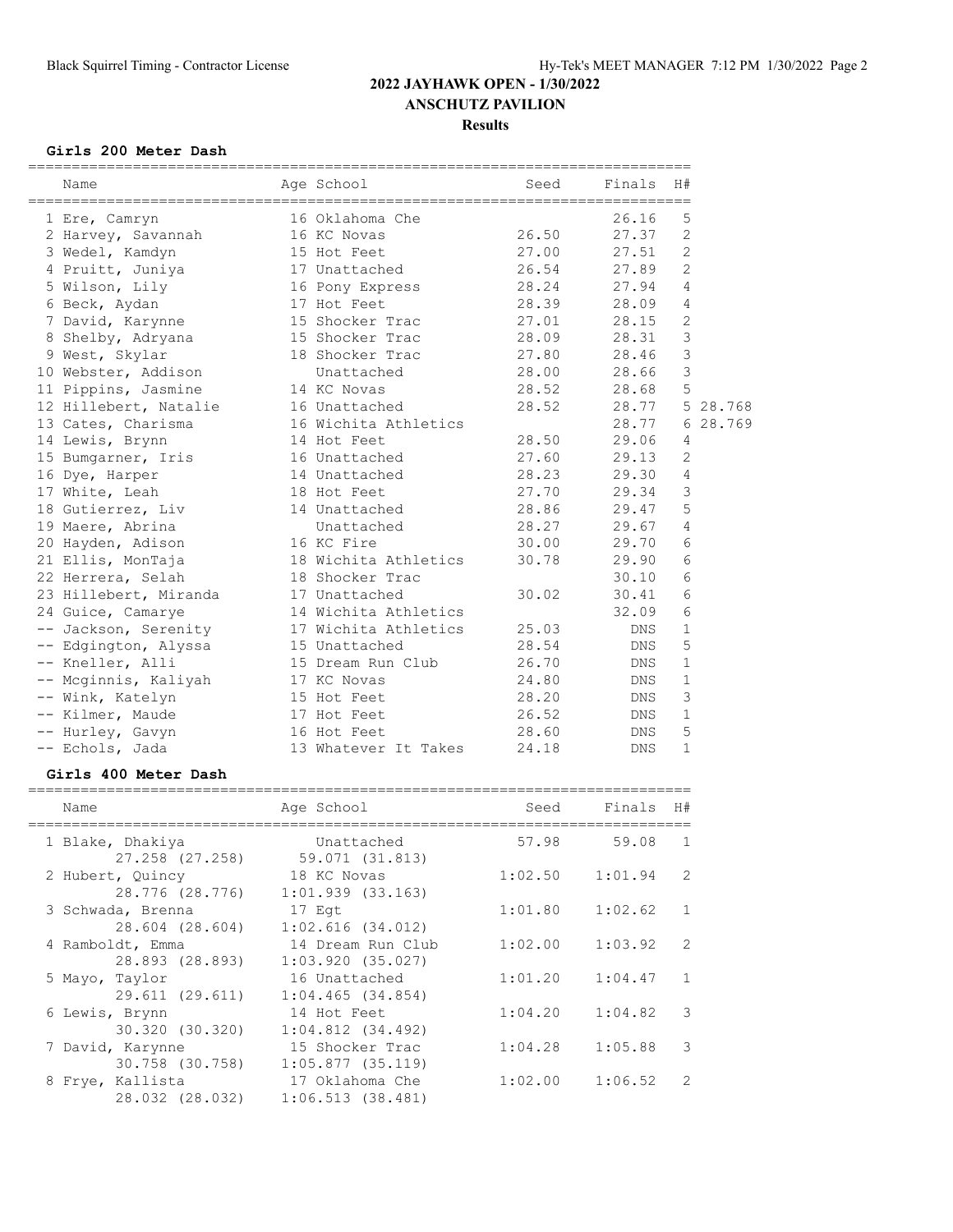#### **Girls 200 Meter Dash**

| Age School<br>Finals<br>H#<br>Seed<br>Name<br>5<br>26.16<br>16 Oklahoma Che<br>1 Ere, Camryn<br>2<br>26.50<br>27.37<br>2 Harvey, Savannah<br>16 KC Novas<br>2<br>27.00<br>3 Wedel, Kamdyn<br>27.51<br>15 Hot Feet<br>2<br>26.54<br>27.89<br>4 Pruitt, Juniya<br>17 Unattached<br>5 Wilson, Lily<br>28.24<br>27.94<br>4<br>16 Pony Express<br>28.39<br>28.09<br>4<br>6 Beck, Aydan<br>17 Hot Feet |
|--------------------------------------------------------------------------------------------------------------------------------------------------------------------------------------------------------------------------------------------------------------------------------------------------------------------------------------------------------------------------------------------------|
|                                                                                                                                                                                                                                                                                                                                                                                                  |
|                                                                                                                                                                                                                                                                                                                                                                                                  |
|                                                                                                                                                                                                                                                                                                                                                                                                  |
|                                                                                                                                                                                                                                                                                                                                                                                                  |
|                                                                                                                                                                                                                                                                                                                                                                                                  |
|                                                                                                                                                                                                                                                                                                                                                                                                  |
|                                                                                                                                                                                                                                                                                                                                                                                                  |
|                                                                                                                                                                                                                                                                                                                                                                                                  |
| 2<br>27.01<br>7 David, Karynne<br>15 Shocker Trac<br>28.15                                                                                                                                                                                                                                                                                                                                       |
| 3<br>28.09<br>28.31<br>8 Shelby, Adryana<br>15 Shocker Trac                                                                                                                                                                                                                                                                                                                                      |
| 3<br>27.80<br>9 West, Skylar<br>18 Shocker Trac<br>28.46                                                                                                                                                                                                                                                                                                                                         |
| 3<br>28.00<br>28.66<br>10 Webster, Addison<br>Unattached                                                                                                                                                                                                                                                                                                                                         |
| 5<br>28.52<br>28.68<br>11 Pippins, Jasmine<br>14 KC Novas                                                                                                                                                                                                                                                                                                                                        |
| 12 Hillebert, Natalie<br>16 Unattached<br>28.52<br>28.77<br>5 28.768                                                                                                                                                                                                                                                                                                                             |
| 28.769<br>13 Cates, Charisma<br>16 Wichita Athletics<br>28.77<br>6                                                                                                                                                                                                                                                                                                                               |
| 28.50<br>29.06<br>14 Lewis, Brynn<br>14 Hot Feet<br>4                                                                                                                                                                                                                                                                                                                                            |
| $\overline{2}$<br>27.60<br>29.13<br>15 Bumgarner, Iris<br>16 Unattached                                                                                                                                                                                                                                                                                                                          |
| 28.23<br>29.30<br>4<br>16 Dye, Harper<br>14 Unattached                                                                                                                                                                                                                                                                                                                                           |
| 3<br>27.70<br>29.34<br>17 White, Leah<br>18 Hot Feet                                                                                                                                                                                                                                                                                                                                             |
| 28.86<br>5<br>29.47<br>18 Gutierrez, Liv<br>14 Unattached                                                                                                                                                                                                                                                                                                                                        |
| 28.27<br>29.67<br>4<br>19 Maere, Abrina<br>Unattached                                                                                                                                                                                                                                                                                                                                            |
| 6<br>30.00<br>29.70<br>20 Hayden, Adison<br>16 KC Fire                                                                                                                                                                                                                                                                                                                                           |
| 30.78<br>6<br>21 Ellis, MonTaja<br>18 Wichita Athletics<br>29.90                                                                                                                                                                                                                                                                                                                                 |
| 6<br>22 Herrera, Selah<br>18 Shocker Trac<br>30.10                                                                                                                                                                                                                                                                                                                                               |
| 6<br>30.02<br>30.41<br>23 Hillebert, Miranda<br>17 Unattached                                                                                                                                                                                                                                                                                                                                    |
| 6<br>14 Wichita Athletics<br>32.09<br>24 Guice, Camarye                                                                                                                                                                                                                                                                                                                                          |
| -- Jackson, Serenity<br>17 Wichita Athletics<br>25.03<br>1<br><b>DNS</b>                                                                                                                                                                                                                                                                                                                         |
| 28.54<br>5<br>-- Edgington, Alyssa<br>15 Unattached<br><b>DNS</b>                                                                                                                                                                                                                                                                                                                                |
| -- Kneller, Alli<br>26.70<br>$\mathbf 1$<br>15 Dream Run Club<br><b>DNS</b>                                                                                                                                                                                                                                                                                                                      |
| -- Mcginnis, Kaliyah 17 KC Novas<br>24.80<br>$\mathbf 1$<br>DNS                                                                                                                                                                                                                                                                                                                                  |
| 3<br>28.20<br>-- Wink, Katelyn<br>15 Hot Feet<br>DNS                                                                                                                                                                                                                                                                                                                                             |
| $\mathbf{1}$<br>26.52<br>-- Kilmer, Maude<br>17 Hot Feet<br>DNS                                                                                                                                                                                                                                                                                                                                  |
| 5<br>28.60<br>-- Hurley, Gavyn<br>16 Hot Feet<br><b>DNS</b>                                                                                                                                                                                                                                                                                                                                      |
| $\mathbf{1}$<br>24.18<br>-- Echols, Jada<br>13 Whatever It Takes<br><b>DNS</b>                                                                                                                                                                                                                                                                                                                   |

#### **Girls 400 Meter Dash**

## ============================================================================

| Name              | Age School            | Seed    | Finals  | H#                      |
|-------------------|-----------------------|---------|---------|-------------------------|
| 1 Blake, Dhakiya  | Unattached            | 57.98   | 59.08   | $\overline{1}$          |
| 27.258 (27.258)   | 59.071 (31.813)       |         |         |                         |
| 2 Hubert, Quincy  | 18 KC Novas           | 1:02.50 | 1:01.94 | 2                       |
| 28.776 (28.776)   | 1:01.939(33.163)      |         |         |                         |
| 3 Schwada, Brenna | 17 Eqt                | 1:01.80 | 1:02.62 | 1                       |
| 28.604 (28.604)   | $1:02.616$ $(34.012)$ |         |         |                         |
| 4 Ramboldt, Emma  | 14 Dream Run Club     | 1:02.00 | 1:03.92 | 2                       |
| 28.893 (28.893)   | $1:03.920$ (35.027)   |         |         |                         |
| 5 Mayo, Taylor    | 16 Unattached         | 1:01.20 | 1:04.47 | $\overline{1}$          |
| 29.611 (29.611)   | 1:04.465(34.854)      |         |         |                         |
| 6 Lewis, Brynn    | 14 Hot Feet           | 1:04.20 | 1:04.82 | $\overline{\mathbf{3}}$ |
| 30.320 (30.320)   | $1:04.812$ $(34.492)$ |         |         |                         |
| 7 David, Karynne  | 15 Shocker Trac       | 1:04.28 | 1:05.88 | 3                       |
| 30.758 (30.758)   | $1:05.877$ (35.119)   |         |         |                         |
| 8 Frye, Kallista  | 17 Oklahoma Che       | 1:02.00 | 1:06.52 | 2                       |
| 28.032 (28.032)   | 1:06.513(38.481)      |         |         |                         |
|                   |                       |         |         |                         |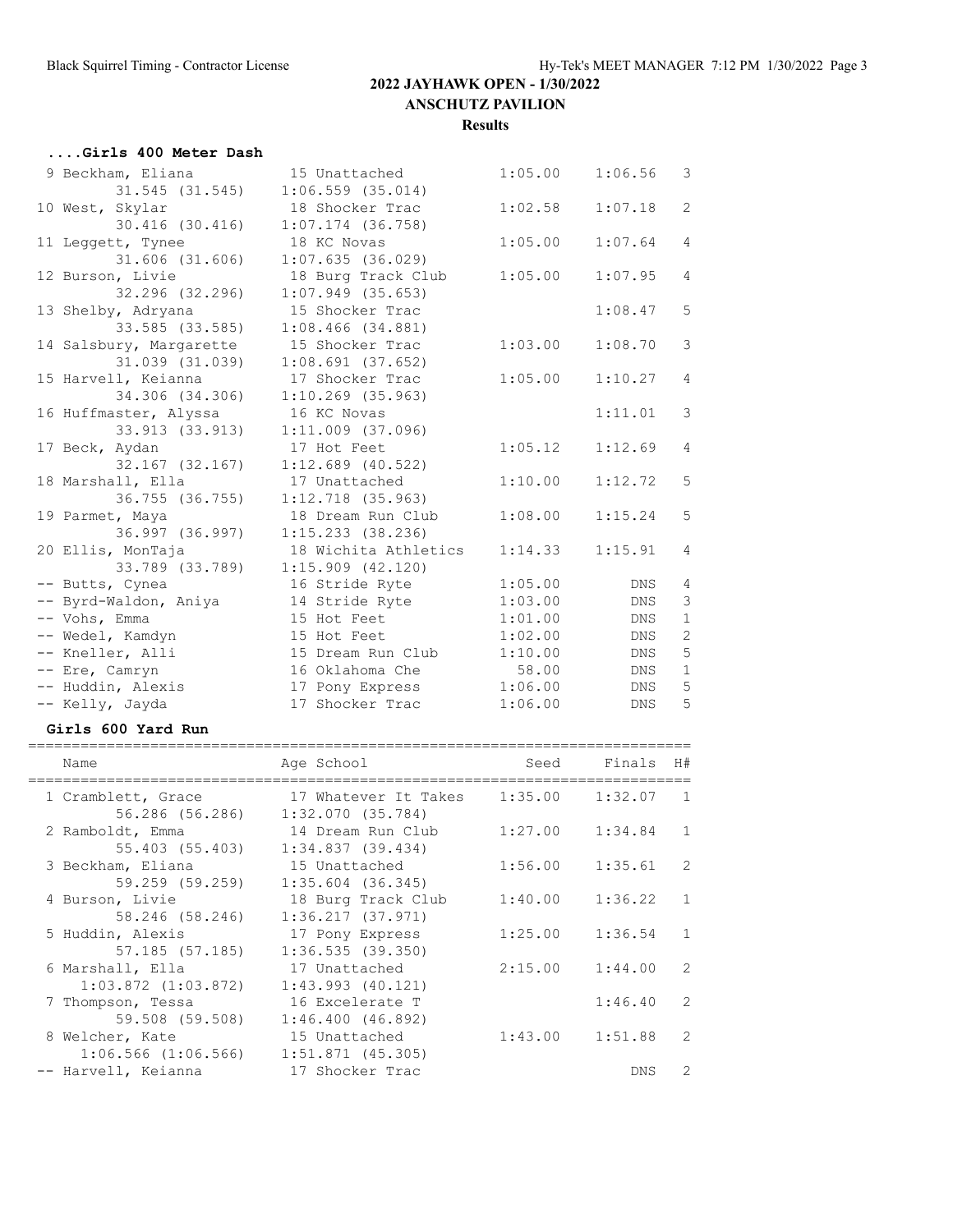| Girls 400 Meter Dash    |                       |                           |            |                |
|-------------------------|-----------------------|---------------------------|------------|----------------|
| 9 Beckham, Eliana       | 15 Unattached         | 1:05.00                   | 1:06.56    | $\mathcal{S}$  |
| $31.545$ $(31.545)$     | $1:06.559$ (35.014)   |                           |            |                |
| 10 West, Skylar         | 18 Shocker Trac       | 1:02.58                   | 1:07.18    | $\overline{c}$ |
| 30.416 (30.416)         | $1:07.174$ (36.758)   |                           |            |                |
| 11 Leggett, Tynee       | 18 KC Novas           | 1:05.00                   | 1:07.64    | $\overline{4}$ |
| $31.606$ $(31.606)$     | 1:07.635(36.029)      |                           |            |                |
| 12 Burson, Livie        | 18 Burg Track Club    | 1:05.00                   | 1:07.95    | $\overline{4}$ |
| 32.296 (32.296)         | $1:07.949$ (35.653)   |                           |            |                |
| 13 Shelby, Adryana      | 15 Shocker Trac       |                           | 1:08.47    | 5              |
| 33.585 (33.585)         | $1:08.466$ $(34.881)$ |                           |            |                |
| 14 Salsbury, Margarette | 15 Shocker Trac       | 1:03.00                   | 1:08.70    | 3              |
| 31.039 (31.039)         | 1:08.691(37.652)      |                           |            |                |
| 15 Harvell, Keianna     | 17 Shocker Trac       | 1:05.00                   | 1:10.27    | $\overline{4}$ |
| 34.306 (34.306)         | $1:10.269$ (35.963)   |                           |            |                |
| 16 Huffmaster, Alyssa   | 16 KC Novas           |                           | 1:11.01    | 3              |
| 33.913 (33.913)         | 1:11.009 (37.096)     |                           |            |                |
| 17 Beck, Aydan          | 17 Hot Feet           | 1:05.12                   | 1:12.69    | 4              |
| 32.167 (32.167)         | $1:12.689$ (40.522)   |                           |            |                |
| 18 Marshall, Ella       | 17 Unattached         | 1:10.00                   | 1:12.72    | 5              |
| 36.755 (36.755)         | $1:12.718$ (35.963)   |                           |            |                |
| 19 Parmet, Maya         | 18 Dream Run Club     | 1:08.00                   | 1:15.24    | 5              |
| 36.997 (36.997)         | 1:15.233 (38.236)     |                           |            |                |
| 20 Ellis, MonTaja       | 18 Wichita Athletics  | 1:14.33                   | 1:15.91    | $\overline{4}$ |
| 33.789 (33.789)         | $1:15.909$ $(42.120)$ |                           |            |                |
| -- Butts, Cynea         | 16 Stride Ryte        | 1:05.00                   | DNS        | 4              |
| -- Byrd-Waldon, Aniya   | 14 Stride Ryte        | 1:03.00                   | DNS        | 3              |
| -- Vohs, Emma           | 15 Hot Feet           | 1:01.00                   | <b>DNS</b> | $\mathbf{1}$   |
| -- Wedel, Kamdyn        | 15 Hot Feet           | 1:02.00                   | <b>DNS</b> | $\overline{c}$ |
| -- Kneller, Alli        | 15 Dream Run Club     | 1:10.00                   | <b>DNS</b> | 5              |
| -- Ere, Camryn          | 16 Oklahoma Che       | 58.00                     | DNS        | $1\,$          |
| -- Huddin, Alexis       | 17 Pony Express       | 1:06.00                   | <b>DNS</b> | 5              |
| -- Kelly, Jayda         | 17 Shocker Trac       | 1:06.00                   | <b>DNS</b> | 5              |
| Girls 600 Yard Run      |                       |                           |            |                |
| Name                    | Age School            | =================<br>Seed | Finals     | H#             |
|                         |                       |                           |            |                |

| Name                                        | Age School                               | Seed    | Finals  | H#             |
|---------------------------------------------|------------------------------------------|---------|---------|----------------|
| 1 Cramblett, Grace<br>56.286 (56.286)       | 17 Whatever It Takes<br>1:32.070(35.784) | 1:35.00 | 1:32.07 | $\overline{1}$ |
| 2 Ramboldt, Emma<br>55.403 (55.403)         | 14 Dream Run Club<br>1:34.837(39.434)    | 1:27.00 | 1:34.84 | 1              |
| 3 Beckham, Eliana<br>59.259 (59.259)        | 15 Unattached<br>$1:35.604$ (36.345)     | 1:56.00 | 1:35.61 | 2              |
| 4 Burson, Livie<br>58.246 (58.246)          | 18 Burg Track Club<br>1:36.217(37.971)   | 1:40.00 | 1:36.22 | 1              |
| 5 Huddin, Alexis<br>57.185 (57.185)         | 17 Pony Express<br>1:36.535(39.350)      | 1:25.00 | 1:36.54 | $\mathbf{1}$   |
| 6 Marshall, Ella<br>$1:03.872$ $(1:03.872)$ | 17 Unattached<br>$1:43.993$ $(40.121)$   | 2:15.00 | 1:44.00 | 2              |
| 7 Thompson, Tessa<br>59.508 (59.508)        | 16 Excelerate T<br>1:46.400(46.892)      |         | 1:46.40 | 2              |
| 8 Welcher, Kate<br>$1:06.566$ $(1:06.566)$  | 15 Unattached<br>1:51.871(45.305)        | 1:43.00 | 1:51.88 | 2              |
| -- Harvell, Keianna                         | 17 Shocker Trac                          |         | DNS.    | 2              |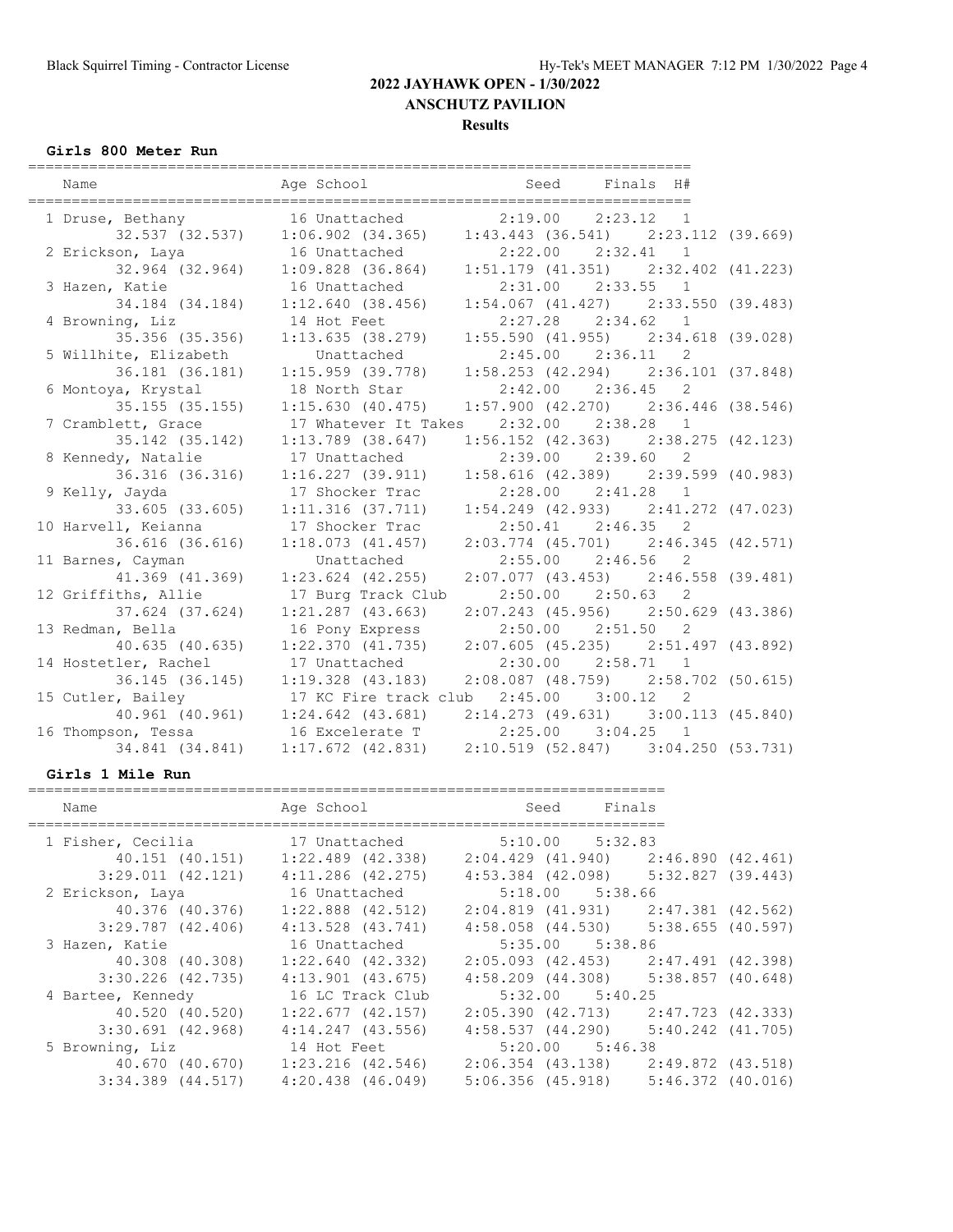#### **Results**

#### **Girls 800 Meter Run**

| ===========                        |                                   |                                                                       |
|------------------------------------|-----------------------------------|-----------------------------------------------------------------------|
| Name                               |                                   | Age School and Seed Finals H#                                         |
|                                    |                                   | 1 Druse, Bethany 16 Unattached 2:19.00 2:23.12 1                      |
|                                    |                                   | 32.537 (32.537) 1:06.902 (34.365) 1:43.443 (36.541) 2:23.112 (39.669) |
| 2 Erickson, Laya 16 Unattached     |                                   | $2:22.00$ $2:32.41$ 1                                                 |
|                                    | 32.964 (32.964) 1:09.828 (36.864) | $1:51.179$ (41.351) $2:32.402$ (41.223)                               |
| 3 Hazen, Katie                     | 16 Unattached                     | $2:31.00$ $2:33.55$ 1                                                 |
| 34.184 (34.184)                    | 1:12.640 (38.456)                 | $1:54.067$ (41.427) $2:33.550$ (39.483)                               |
| 4 Browning, Liz                    | 14 Hot Feet                       | $2:27.28$ $2:34.62$ 1                                                 |
| 35.356 (35.356)                    | 1:13.635(38.279)                  | $1:55.590$ (41.955) $2:34.618$ (39.028)                               |
| 5 Willhite, Elizabeth              | Unattached                        | 2:45.00 2:36.11 2                                                     |
| 36.181 (36.181)                    | $1:15.959$ (39.778)               | $1:58.253$ (42.294) $2:36.101$ (37.848)                               |
| 6 Montoya, Krystal                 | 18 North Star                     | $2:42.00$ $2:36.45$ 2                                                 |
| $35.155$ $(35.155)$                | 1:15.630(40.475)                  | $1:57.900$ (42.270) $2:36.446$ (38.546)                               |
| 7 Cramblett, Grace                 |                                   | 17 Whatever It Takes 2:32.00 2:38.28 1                                |
| 35.142 (35.142)                    | $1:13.789$ $(38.647)$             | $1:56.152$ (42.363) $2:38.275$ (42.123)                               |
| 8 Kennedy, Natalie                 | 17 Unattached                     | 2:39.00 2:39.60 2                                                     |
|                                    | 36.316 (36.316) 1:16.227 (39.911) | $1:58.616$ (42.389) $2:39.599$ (40.983)                               |
| 9 Kelly, Jayda                     | 17 Shocker Trac                   | 2:28.00 2:41.28 1                                                     |
| 33.605 (33.605)                    | 1:11.316(37.711)                  | $1:54.249$ (42.933) $2:41.272$ (47.023)                               |
| 10 Harvell, Keianna                | 17 Shocker Trac                   | $2:50.41$ $2:46.35$ 2                                                 |
| 36.616 (36.616)                    | 1:18.073(41.457)                  | 2:03.774 (45.701) 2:46.345 (42.571)                                   |
| 11 Barnes, Cayman                  | Unattached                        | $2:55.00$ $2:46.56$ 2                                                 |
| 41.369 (41.369)                    | $1:23.624$ $(42.255)$             | $2:07.077$ (43.453) $2:46.558$ (39.481)                               |
| 12 Griffiths, Allie                | 17 Burg Track Club                | $2:50.00$ $2:50.63$ 2                                                 |
| 37.624 (37.624)                    | $1:21.287$ (43.663)               | $2:07.243$ (45.956) $2:50.629$ (43.386)                               |
| 13 Redman, Bella                   | 16 Pony Express                   | $2:50.00$ $2:51.50$ 2                                                 |
| 40.635(40.635)                     | $1:22.370$ $(41.735)$             | $2:07.605$ (45.235) $2:51.497$ (43.892)                               |
| 14 Hostetler, Rachel               | 17 Unattached                     | $2:30.00$ $2:58.71$ 1                                                 |
| 36.145 (36.145)                    | $1:19.328$ (43.183)               | $2:08.087$ (48.759) $2:58.702$ (50.615)                               |
| 15 Cutler, Bailey                  | 17 KC Fire track club             | $2:45.00$ $3:00.12$ 2                                                 |
|                                    | 40.961 (40.961) 1:24.642 (43.681) | $2:14.273$ (49.631) 3:00.113 (45.840)                                 |
| 16 Thompson, Tessa 16 Excelerate T |                                   | $2:25.00$ $3:04.25$ 1                                                 |
| 34.841 (34.841)                    | $1:17.672$ $(42.831)$             | $2:10.519$ (52.847) 3:04.250 (53.731)                                 |

#### **Girls 1 Mile Run**

#### =========================================================================

| Name                  | Age School            | Seed<br>Finals                              |                   |
|-----------------------|-----------------------|---------------------------------------------|-------------------|
| 1 Fisher, Cecilia     | 17 Unattached         | $5:10.00$ $5:32.83$                         |                   |
| 40.151 (40.151)       | $1:22.489$ $(42.338)$ | $2:04.429$ $(41.940)$ $2:46.890$ $(42.461)$ |                   |
| 3:29.011(42.121)      | $4:11.286$ $(42.275)$ | $4:53.384$ (42.098) $5:32.827$ (39.443)     |                   |
| 2 Erickson, Laya      | 16 Unattached         | $5:18.00$ $5:38.66$                         |                   |
| 40.376 (40.376)       | $1:22.888$ $(42.512)$ | $2:04.819$ (41.931) $2:47.381$ (42.562)     |                   |
| $3:29.787$ $(42.406)$ | $4:13.528$ $(43.741)$ | $4:58.058$ (44.530) $5:38.655$ (40.597)     |                   |
| 3 Hazen, Katie        | 16 Unattached         | 5:35.00 5:38.86                             |                   |
| 40.308 (40.308)       | $1:22.640$ (42.332)   | $2:05.093$ (42.453) $2:47.491$ (42.398)     |                   |
| $3:30.226$ (42.735)   | $4:13.901$ $(43.675)$ | $4:58.209$ $(44.308)$ $5:38.857$ $(40.648)$ |                   |
| 4 Bartee, Kennedy     | 16 LC Track Club      | $5:32.00$ $5:40.25$                         |                   |
| 40.520 (40.520)       | $1:22.677$ $(42.157)$ | 2:05.390 (42.713)                           | 2:47.723 (42.333) |
| $3:30.691$ $(42.968)$ | $4:14.247$ $(43.556)$ | $4:58.537$ $(44.290)$ $5:40.242$ $(41.705)$ |                   |
| 5 Browning, Liz       | 14 Hot Feet           | $5:20.00$ $5:46.38$                         |                   |
| 40.670 (40.670)       | $1:23.216$ (42.546)   | $2:06.354$ (43.138) $2:49.872$ (43.518)     |                   |
| $3:34.389$ $(44.517)$ | $4:20.438$ $(46.049)$ | $5:06.356$ (45.918) $5:46.372$ (40.016)     |                   |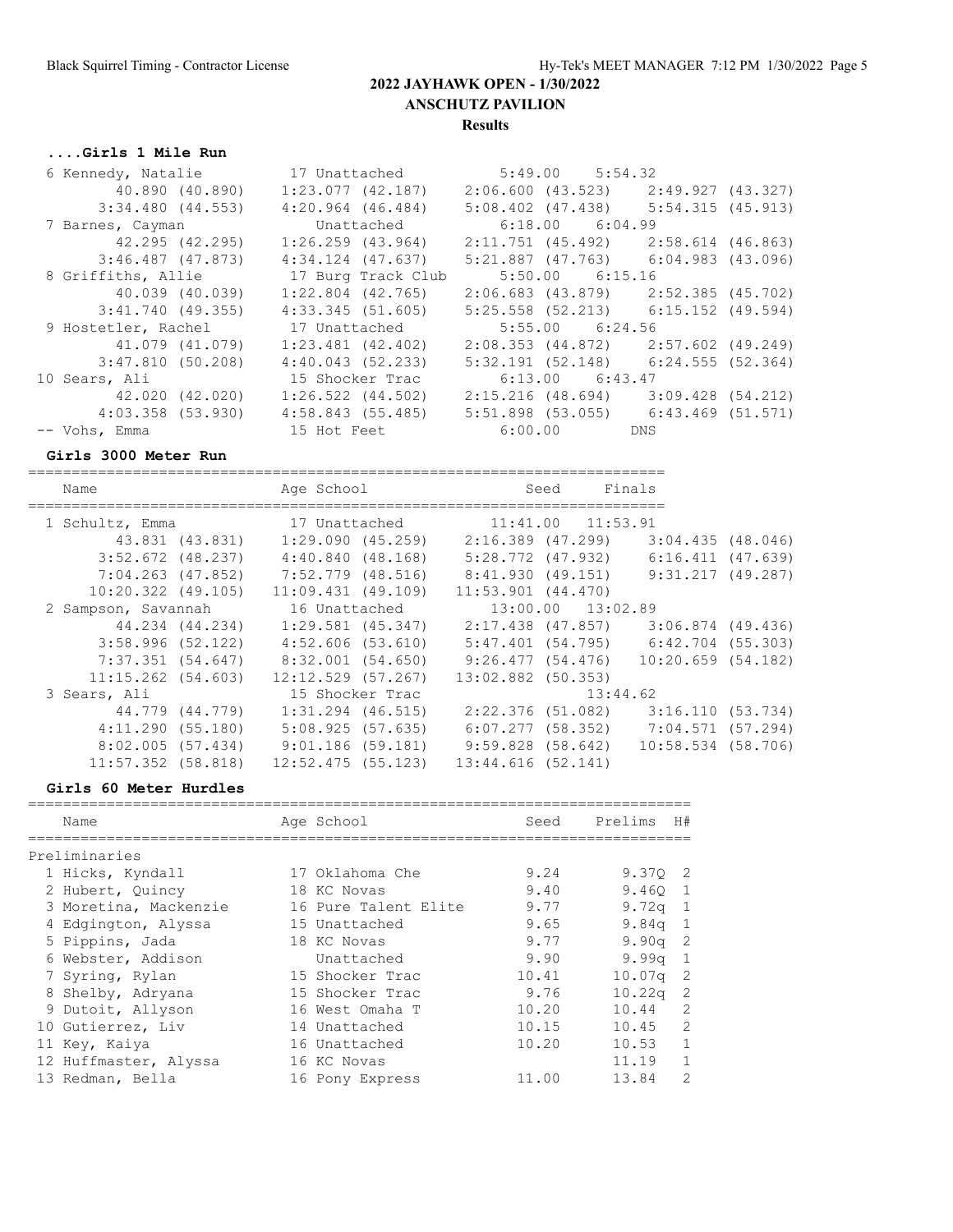## **....Girls 1 Mile Run**

| 6 Kennedy, Natalie    | 17 Unattached         | $5:49.00$ $5:54.32$                     |                     |  |
|-----------------------|-----------------------|-----------------------------------------|---------------------|--|
| 40.890 (40.890)       | 1:23.077(42.187)      | $2:06.600$ (43.523) $2:49.927$ (43.327) |                     |  |
| $3:34.480$ $(44.553)$ | $4:20.964$ $(46.484)$ | $5:08.402$ (47.438) $5:54.315$ (45.913) |                     |  |
| 7 Barnes, Cayman      | Unattached            | $6:18.00$ $6:04.99$                     |                     |  |
| 42.295 (42.295)       | $1:26.259$ $(43.964)$ | $2:11.751$ (45.492) $2:58.614$ (46.863) |                     |  |
| 3:46.487 (47.873)     | $4:34.124$ $(47.637)$ | $5:21.887$ (47.763) 6:04.983 (43.096)   |                     |  |
| 8 Griffiths, Allie    | 17 Burg Track Club    | $5:50.00$ $6:15.16$                     |                     |  |
| 40.039 (40.039)       | $1:22.804$ (42.765)   | $2:06.683$ (43.879) $2:52.385$ (45.702) |                     |  |
| $3:41.740$ (49.355)   | 4:33.345(51.605)      | $5:25.558$ (52.213) 6:15.152 (49.594)   |                     |  |
| 9 Hostetler, Rachel   | 17 Unattached         | $5:55.00$ $6:24.56$                     |                     |  |
| 41.079 (41.079)       | $1:23.481$ $(42.402)$ | $2:08.353$ (44.872) $2:57.602$ (49.249) |                     |  |
| 3:47.810(50.208)      | 4:40.043(52.233)      | $5:32.191$ (52.148) 6:24.555 (52.364)   |                     |  |
| 10 Sears, Ali         | 15 Shocker Trac       | $6:13.00$ $6:43.47$                     |                     |  |
| 42.020 (42.020)       | $1:26.522$ $(44.502)$ | 2:15.216 (48.694)                       | $3:09.428$ (54.212) |  |
| 4:03.358 (53.930)     | 4:58.843(55.485)      | $5:51.898$ (53.055) 6:43.469 (51.571)   |                     |  |
| -- Vohs, Emma         | 15 Hot Feet           | $6:00.00$ DNS                           |                     |  |

#### **Girls 3000 Meter Run**

| Name                   |                 | Age School                                                      |                        | Seed                  | Finals                                  |  |
|------------------------|-----------------|-----------------------------------------------------------------|------------------------|-----------------------|-----------------------------------------|--|
| 1 Schultz, Emma        |                 | 17 Unattached                                                   |                        | $11:41.00$ $11:53.91$ |                                         |  |
|                        | 43.831 (43.831) | 1:29.090(45.259)                                                | 2:16.389 (47.299)      |                       | 3:04.435(48.046)                        |  |
| $3:52.672$ (48.237)    |                 | 4:40.840(48.168)                                                | 5:28.772 (47.932)      |                       | $6:16.411$ $(47.639)$                   |  |
| $7:04.263$ (47.852)    |                 | 7:52.779 (48.516)                                               |                        |                       | 8:41.930 (49.151) 9:31.217 (49.287)     |  |
| $10:20.322$ (49.105)   |                 | $11:09.431$ (49.109)                                            | $11:53.901$ $(44.470)$ |                       |                                         |  |
| 2 Sampson, Savannah    |                 | 16 Unattached                                                   |                        | 13:00.00 13:02.89     |                                         |  |
|                        |                 | $44.234$ $(44.234)$ $1:29.581$ $(45.347)$ $2:17.438$ $(47.857)$ |                        |                       | $3:06.874$ (49.436)                     |  |
| 3:58.996(52.122)       |                 | 4:52.606 (53.610)                                               |                        |                       | 5:47.401 (54.795) 6:42.704 (55.303)     |  |
| 7:37.351 (54.647)      |                 | 8:32.001 (54.650)                                               |                        |                       | $9:26.477$ (54.476) 10:20.659 (54.182)  |  |
| $11:15.262$ $(54.603)$ |                 | $12:12.529$ (57.267)                                            | 13:02.882 (50.353)     |                       |                                         |  |
| 3 Sears, Ali           |                 | 15 Shocker Trac                                                 |                        |                       | 13:44.62                                |  |
|                        | 44.779 (44.779) | $1:31.294$ (46.515)                                             | 2:22.376 (51.082)      |                       | 3:16.110 (53.734)                       |  |
| 4:11.290(55.180)       |                 | 5:08.925(57.635)                                                |                        |                       | $6:07.277$ (58.352) $7:04.571$ (57.294) |  |
| 8:02.005(57.434)       |                 | $9:01.186$ (59.181)                                             |                        |                       | $9:59.828$ (58.642) 10:58.534 (58.706)  |  |
| $11:57.352$ (58.818)   |                 | 12:52.475 (55.123)                                              | 13:44.616(52.141)      |                       |                                         |  |

#### **Girls 60 Meter Hurdles**

| Name                  | Age School           | Seed  | Prelims            | H#             |
|-----------------------|----------------------|-------|--------------------|----------------|
| Preliminaries         |                      |       |                    |                |
| 1 Hicks, Kyndall      | 17 Oklahoma Che      | 9.24  | 9.370 2            |                |
| 2 Hubert, Quincy      | 18 KC Novas          | 9.40  | 9.460 1            |                |
| 3 Moretina, Mackenzie | 16 Pure Talent Elite | 9.77  | 9.72q              | $\overline{1}$ |
| 4 Edgington, Alyssa   | 15 Unattached        | 9.65  | 9.84 <sub>q</sub>  | $\overline{1}$ |
| 5 Pippins, Jada       | 18 KC Novas          | 9.77  | 9.90q              | -2             |
| 6 Webster, Addison    | Unattached           | 9.90  | 9.99 <sub>q</sub>  | $\overline{1}$ |
| 7 Syring, Rylan       | 15 Shocker Trac      | 10.41 | 10.07 <sub>q</sub> | -2             |
| 8 Shelby, Adryana     | 15 Shocker Trac      | 9.76  | 10.22q             | -2             |
| 9 Dutoit, Allyson     | 16 West Omaha T      | 10.20 | 10.44              | 2              |
| 10 Gutierrez, Liv     | 14 Unattached        | 10.15 | 10.45              | 2              |
| 11 Key, Kaiya         | 16 Unattached        | 10.20 | 10.53              | $\mathbf{1}$   |
| 12 Huffmaster, Alyssa | 16 KC Novas          |       | 11.19              | $\mathbf{1}$   |
| 13 Redman, Bella      | 16 Pony Express      | 11.00 | 13.84              | $\overline{2}$ |
|                       |                      |       |                    |                |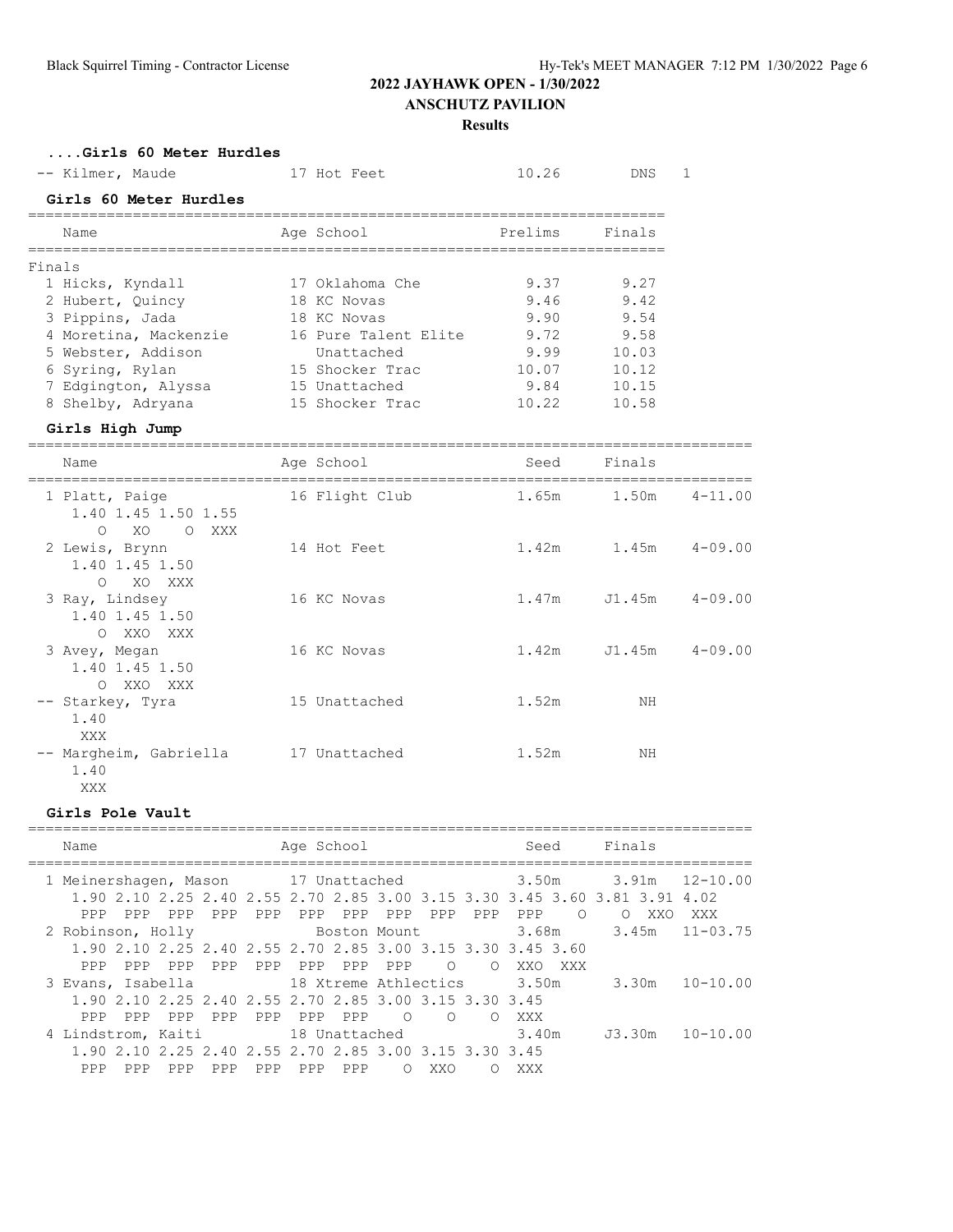## **Results**

#### **....Girls 60 Meter Hurdles**

| -- Kilmer, Maude       | 17 Hot Feet          | 10.26   | DNS.   |  |
|------------------------|----------------------|---------|--------|--|
| Girls 60 Meter Hurdles |                      |         |        |  |
| Name                   | Age School           | Prelims | Finals |  |
| Finals                 |                      |         |        |  |
| 1 Hicks, Kyndall       | 17 Oklahoma Che      | 9.37    | 9.27   |  |
| 2 Hubert, Quincy       | 18 KC Novas          | 9.46    | 9.42   |  |
| 3 Pippins, Jada        | 18 KC Novas          | 9.90    | 9.54   |  |
| 4 Moretina, Mackenzie  | 16 Pure Talent Elite | 9.72    | 9.58   |  |
| 5 Webster, Addison     | Unattached           | 9.99    | 10.03  |  |
| 6 Syring, Rylan        | 15 Shocker Trac      | 10.07   | 10.12  |  |
| 7 Edgington, Alyssa    | 15 Unattached        | 9.84    | 10.15  |  |
| 8 Shelby, Adryana      | 15 Shocker Trac      | 10.22   | 10.58  |  |

#### **Girls High Jump**

| Name                                                            | Age School     | Seed  | Finals |             |
|-----------------------------------------------------------------|----------------|-------|--------|-------------|
| 1 Platt, Paige<br>1.40 1.45 1.50 1.55<br>XO<br>$\circ$<br>O XXX | 16 Flight Club | 1.65m | 1.50m  | $4 - 11.00$ |
| 2 Lewis, Brynn<br>1.40 1.45 1.50<br>$\circ$<br>XO XXX           | 14 Hot Feet    | 1.42m | 1.45m  | $4 - 09.00$ |
| 3 Ray, Lindsey<br>1.40 1.45 1.50<br>O XXO XXX                   | 16 KC Novas    | 1.47m | J1.45m | $4 - 09.00$ |
| 3 Avey, Megan<br>1.40 1.45 1.50<br>O XXO XXX                    | 16 KC Novas    | 1.42m | J1.45m | $4 - 09.00$ |
| -- Starkey, Tyra<br>1.40<br>XXX                                 | 15 Unattached  | 1.52m | ΝH     |             |
| -- Margheim, Gabriella<br>1.40<br>XXX                           | 17 Unattached  | 1.52m | NΗ     |             |

#### **Girls Pole Vault**

| Name                                                                                                                                   | Age School                                                                | Seed                           | Finals                                      |
|----------------------------------------------------------------------------------------------------------------------------------------|---------------------------------------------------------------------------|--------------------------------|---------------------------------------------|
| 1 Meinershagen, Mason 17 Unattached 3.50m 3.91m 12-10.00<br>1,90 2,10 2,25 2,40 2,55 2,70 2,85 3,00 3,15 3,30 3,45 3,60 3,81 3,91 4,02 |                                                                           |                                |                                             |
| PPP<br>PPP<br>PPP<br>PPP<br>2 Robinson, Holly<br>1,90 2,10 2,25 2,40 2,55 2,70 2,85 3,00 3,15 3,30 3,45 3,60                           | PPP<br>PPP<br>PPP<br>PPP<br>PPP<br>Boston Mount                           | PPP<br>$\circ$<br>PPP<br>3.68m | $\circ$<br>XXO<br>XXX<br>$3.45m$ $11-03.75$ |
| PPP<br>PPP<br>PPP<br>PPP<br>3 Evans, Isabella 18 Xtreme Athlectics                                                                     | PPP<br>PPP<br>PPP<br>PPP<br>$\circ$                                       | $\bigcirc$<br>XXO XXX<br>3.50m | $3.30m$ $10-10.00$                          |
| 1,90 2,10 2,25 2,40 2,55 2,70 2,85 3,00 3,15 3,30 3,45<br>PPP<br>PPP<br>PPP<br>PPP.<br>4 Lindstrom, Kaiti 18 Unattached                | $\begin{array}{ccc} & & \circ & & \circ \end{array}$<br>PPP<br>PPP<br>PPP | XXX X<br>$\bigcap$<br>3.40m    | $J3.30m$ $10-10.00$                         |
| 1,90 2,10 2,25 2,40 2,55 2,70 2,85 3,00 3,15 3,30 3,45<br>PPP<br>PPP<br>PPP<br><b>PPP</b>                                              | PPP<br>PPP<br>PPP<br><b>XXO</b><br>∩                                      | XXX                            |                                             |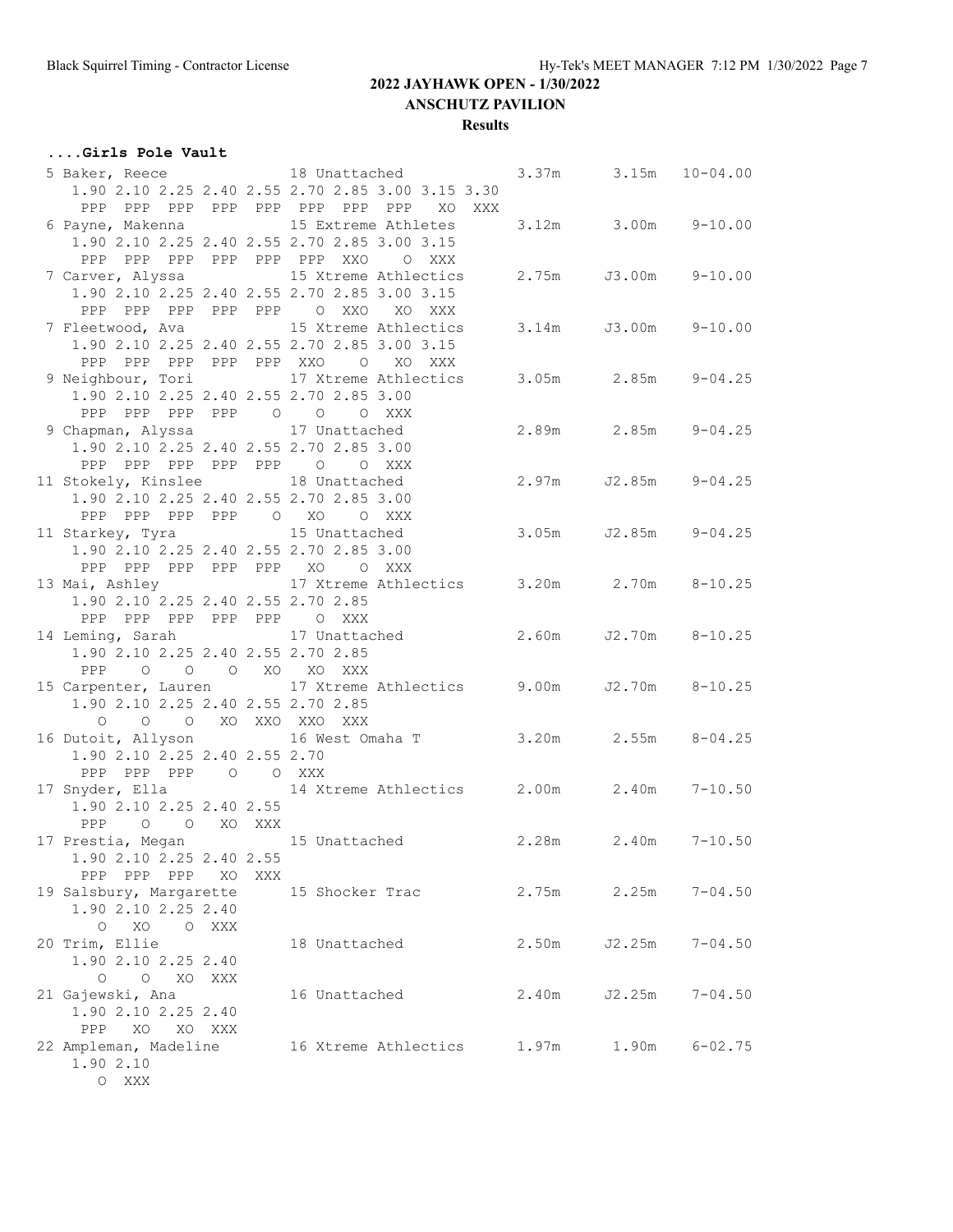## **....Girls Pole Vault**

|                                                  |     | 5 Baker, Reece 18 Unattached                                   |       | $3.37m$ $3.15m$ $10-04.00$ |                    |
|--------------------------------------------------|-----|----------------------------------------------------------------|-------|----------------------------|--------------------|
|                                                  |     | 1.90 2.10 2.25 2.40 2.55 2.70 2.85 3.00 3.15 3.30              |       |                            |                    |
| PPP                                              |     | PPP PPP PPP PPP PPP PPP PPP<br>XO XXX                          |       |                            |                    |
| 6 Payne, Makenna 15 Extreme Athletes             |     |                                                                |       | 3.12m 3.00m 9-10.00        |                    |
| 1.90 2.10 2.25 2.40 2.55 2.70 2.85 3.00 3.15     |     |                                                                |       |                            |                    |
| PPP PPP PPP PPP PPP PPP XXO                      |     | O XXX                                                          |       |                            |                    |
|                                                  |     | 7 Carver, Alyssa 15 Xtreme Athlectics                          |       | 2.75m J3.00m 9-10.00       |                    |
| 1.90 2.10 2.25 2.40 2.55 2.70 2.85 3.00 3.15     |     |                                                                |       |                            |                    |
| PPP PPP PPP PPP PPP 0 XXO                        |     | XO XXX                                                         |       |                            |                    |
| 7 Fleetwood, Ava                                 |     | 15 Xtreme Athlectics                                           |       | 3.14m J3.00m 9-10.00       |                    |
|                                                  |     |                                                                |       |                            |                    |
| 1.90 2.10 2.25 2.40 2.55 2.70 2.85 3.00 3.15     |     |                                                                |       |                            |                    |
| PPP PPP PPP PPP PPP XXO O                        |     | XO XXX                                                         |       |                            |                    |
|                                                  |     | 9 Neighbour, Tori 17 Xtreme Athlectics 3.05m 2.85m 9-04.25     |       |                            |                    |
| 1.90 2.10 2.25 2.40 2.55 2.70 2.85 3.00          |     |                                                                |       |                            |                    |
| PPP PPP PPP PPP 0 0 0 XXX                        |     |                                                                |       |                            |                    |
| 9 Chapman, Alyssa 17 Unattached                  |     |                                                                |       | 2.89m 2.85m 9-04.25        |                    |
| 1.90 2.10 2.25 2.40 2.55 2.70 2.85 3.00          |     |                                                                |       |                            |                    |
| PPP PPP PPP PPP PPP 0 0 XXX                      |     |                                                                |       |                            |                    |
| 11 Stokely, Kinslee 18 Unattached                |     |                                                                |       | 2.97m J2.85m 9-04.25       |                    |
| 1.90 2.10 2.25 2.40 2.55 2.70 2.85 3.00          |     |                                                                |       |                            |                    |
| PPP PPP PPP PPP 0 XO                             |     | O XXX                                                          |       |                            |                    |
| 11 Starkey, Tyra 15 Unattached                   |     |                                                                | 3.05m |                            | $J2.85m$ $9-04.25$ |
| 1.90 2.10 2.25 2.40 2.55 2.70 2.85 3.00          |     |                                                                |       |                            |                    |
| PPP PPP PPP PPP PPP XO O XXX                     |     |                                                                |       |                            |                    |
|                                                  |     |                                                                |       |                            |                    |
| 1.90 2.10 2.25 2.40 2.55 2.70 2.85               |     |                                                                |       |                            |                    |
| PPP PPP PPP PPP PPP O XXX                        |     |                                                                |       |                            |                    |
|                                                  |     | 14 Leming, Sarah 17 Unattached                                 |       | 2.60m J2.70m 8-10.25       |                    |
| 1.90 2.10 2.25 2.40 2.55 2.70 2.85               |     |                                                                |       |                            |                    |
| PPP 0 0 0 XO XO XXX                              |     |                                                                |       |                            |                    |
|                                                  |     | 15 Carpenter, Lauren 17 Xtreme Athlectics 9.00m J2.70m 8-10.25 |       |                            |                    |
| 1.90 2.10 2.25 2.40 2.55 2.70 2.85               |     |                                                                |       |                            |                    |
| O O XO XXO XXO XXX<br>$\circ$                    |     |                                                                |       |                            |                    |
| 16 Dutoit, Allyson                               |     | 16 West Omaha T 3.20m 2.55m 8-04.25                            |       |                            |                    |
| 1.90 2.10 2.25 2.40 2.55 2.70                    |     |                                                                |       |                            |                    |
| PPP PPP PPP 0 0 XXX                              |     |                                                                |       |                            |                    |
| 17 Snyder, Ella                                  |     | 14 Xtreme Athlectics 2.00m 2.40m                               |       |                            | $7 - 10.50$        |
| 1.90 2.10 2.25 2.40 2.55                         |     |                                                                |       |                            |                    |
| O O XO XXX<br>PPP                                |     |                                                                |       |                            |                    |
|                                                  |     | 17 Prestia, Megan 15 Unattached                                | 2.28m |                            | $2.40m$ $7-10.50$  |
| 1.90 2.10 2.25 2.40 2.55                         |     |                                                                |       |                            |                    |
| PPP PPP PPP<br>XO                                | XXX |                                                                |       |                            |                    |
| 19 Salsbury, Margarette                          |     | 15 Shocker Trac                                                | 2.75m | 2.25m                      | $7 - 04.50$        |
| 1.90 2.10 2.25 2.40                              |     |                                                                |       |                            |                    |
| $\circ$<br>XO<br>O XXX                           |     |                                                                |       |                            |                    |
|                                                  |     |                                                                | 2.50m |                            |                    |
| 20 Trim, Ellie                                   |     | 18 Unattached                                                  |       | J2.25m                     | $7 - 04.50$        |
| 1.90 2.10 2.25 2.40                              |     |                                                                |       |                            |                    |
| $\circ$<br>$\overline{\phantom{0}}$<br>XO<br>XXX |     |                                                                |       |                            |                    |
| 21 Gajewski, Ana                                 |     | 16 Unattached                                                  | 2.40m | J2.25m                     | $7 - 04.50$        |
| 1.90 2.10 2.25 2.40                              |     |                                                                |       |                            |                    |
| PPP<br>XO<br>XO XXX                              |     |                                                                |       |                            |                    |
| 22 Ampleman, Madeline                            |     | 16 Xtreme Athlectics                                           | 1.97m | 1.90m                      | $6 - 02.75$        |
| 1.90 2.10                                        |     |                                                                |       |                            |                    |
| O XXX                                            |     |                                                                |       |                            |                    |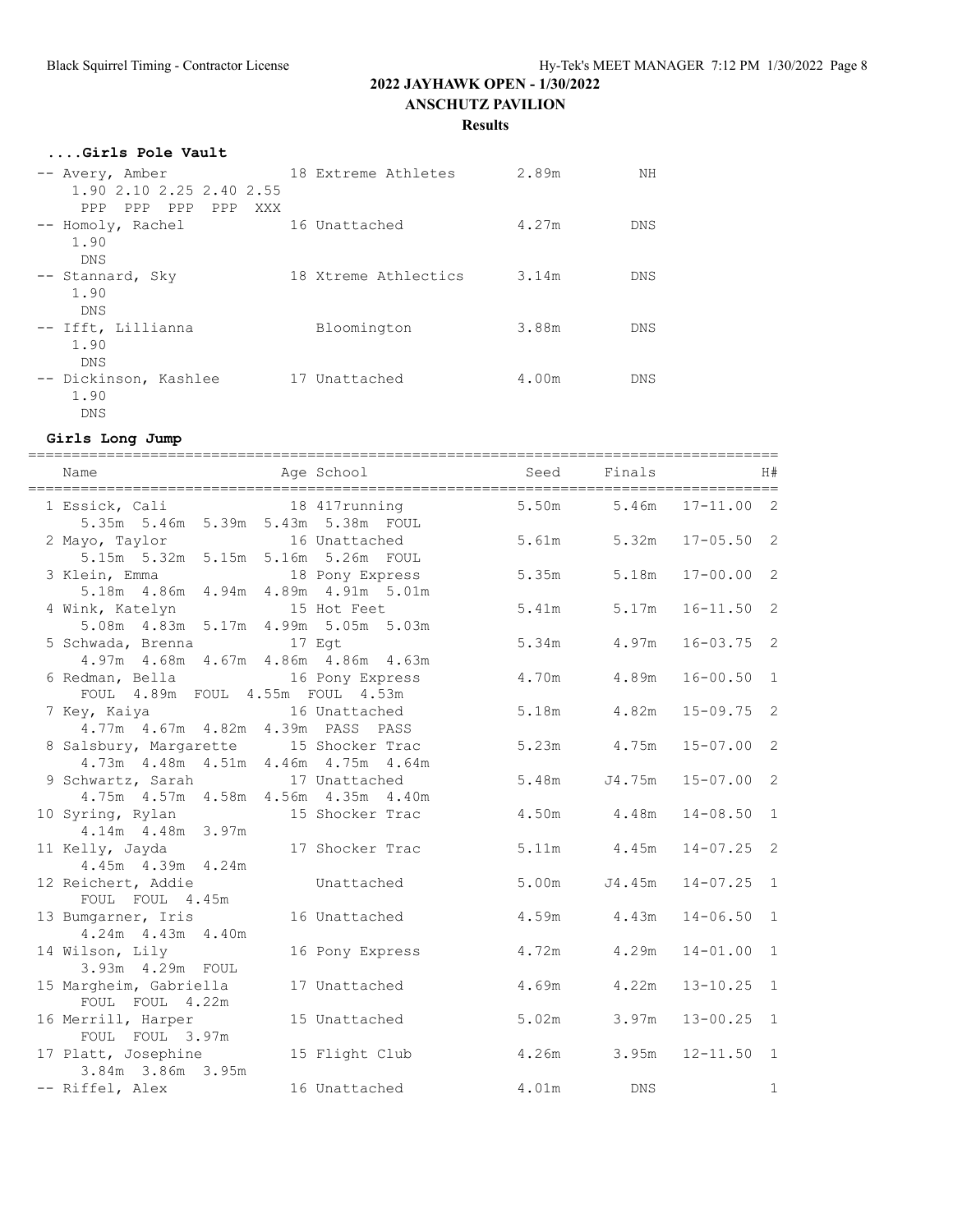#### **Results**

| Girls Pole Vault                                   |                      |       |            |
|----------------------------------------------------|----------------------|-------|------------|
| -- Avery, Amber<br>1.90 2.10 2.25 2.40 2.55        | 18 Extreme Athletes  | 2.89m | NΗ         |
| PPP<br>PPP PPP<br>PPP<br>XXX                       |                      |       |            |
| -- Homoly, Rachel<br>1.90<br><b>DNS</b>            | 16 Unattached        | 4.27m | <b>DNS</b> |
| -- Stannard, Sky<br>1.90                           | 18 Xtreme Athlectics | 3.14m | <b>DNS</b> |
| <b>DNS</b><br>-- Ifft, Lillianna<br>1.90           | Bloomington          | 3.88m | <b>DNS</b> |
| <b>DNS</b><br>-- Dickinson, Kashlee<br>1.90<br>DNS | 17 Unattached        | 4.00m | DNS        |

#### **Girls Long Jump**

| 1 Essick, Cali 18 417running 5.50m 5.46m 17-11.00 2<br>5.35m 5.46m 5.39m 5.43m 5.38m FOUL |                 |       |             |                |              |
|-------------------------------------------------------------------------------------------|-----------------|-------|-------------|----------------|--------------|
| 2 Mayo, Taylor 16 Unattached<br>5.15m 5.32m 5.15m 5.16m 5.26m FOUL                        |                 | 5.61m | 5.32m       | $17 - 05.50$ 2 |              |
| 3 Klein, Emma<br>5.18m 4.86m 4.94m 4.89m 4.91m 5.01m                                      |                 | 5.35m | 5.18m       | $17 - 00.00 2$ |              |
| 4 Wink, Katelyn 15 Hot Feet<br>5.08m  4.83m  5.17m  4.99m  5.05m  5.03m                   |                 | 5.41m | 5.17m       | $16 - 11.50$ 2 |              |
| 5 Schwada, Brenna 17 Egt<br>4.97m  4.68m  4.67m  4.86m  4.86m  4.63m                      |                 | 5.34m | 4.97m       | $16 - 03.75$ 2 |              |
| 6 Redman, Bella 16 Pony Express<br>FOUL 4.89m FOUL 4.55m FOUL 4.53m                       |                 | 4.70m | 4.89m       | $16 - 00.50$ 1 |              |
| 7 Key, Kaiya $16$ Unattached<br>4.77m  4.67m  4.82m  4.39m  PASS  PASS                    |                 | 5.18m | 4.82m       | $15 - 09.75$ 2 |              |
| 8 Salsbury, Margarette 15 Shocker Trac<br>4.73m  4.48m  4.51m  4.46m  4.75m  4.64m        |                 |       | 5.23m 4.75m | $15 - 07.00$ 2 |              |
| 9 Schwartz, Sarah 17 Unattached<br>4.75m  4.57m  4.58m  4.56m  4.35m  4.40m               |                 | 5.48m | J4.75m      | $15 - 07.00$ 2 |              |
| 10 Syring, Rylan 15 Shocker Trac<br>4.14m  4.48m  3.97m                                   |                 |       | 4.50m 4.48m | $14 - 08.50$ 1 |              |
| 11 Kelly, Jayda 17 Shocker Trac<br>4.45m 4.39m 4.24m                                      |                 |       | 5.11m 4.45m | $14 - 07.25$ 2 |              |
| 12 Reichert, Addie<br>FOUL FOUL 4.45m                                                     | Unattached      | 5.00m | J4.45m      | $14 - 07.25$ 1 |              |
| 13 Bumgarner, Iris<br>4.24m  4.43m  4.40m                                                 | 16 Unattached   |       | 4.59m 4.43m | $14 - 06.50$ 1 |              |
| 14 Wilson, Lily<br>3.93m  4.29m  FOUL                                                     | 16 Pony Express | 4.72m | 4.29m       | $14 - 01.00$ 1 |              |
| 15 Margheim, Gabriella<br>FOUL FOUL 4.22m                                                 | 17 Unattached   | 4.69m | 4.22m       | $13 - 10.25$ 1 |              |
| 16 Merrill, Harper<br>FOUL FOUL 3.97m                                                     | 15 Unattached   | 5.02m | 3.97m       | $13 - 00.25$ 1 |              |
| 17 Platt, Josephine<br>3.84m 3.86m 3.95m                                                  | 15 Flight Club  | 4.26m | 3.95m       | $12 - 11.50$ 1 |              |
| -- Riffel, Alex                                                                           | 16 Unattached   | 4.01m | DNS         |                | $\mathbf{1}$ |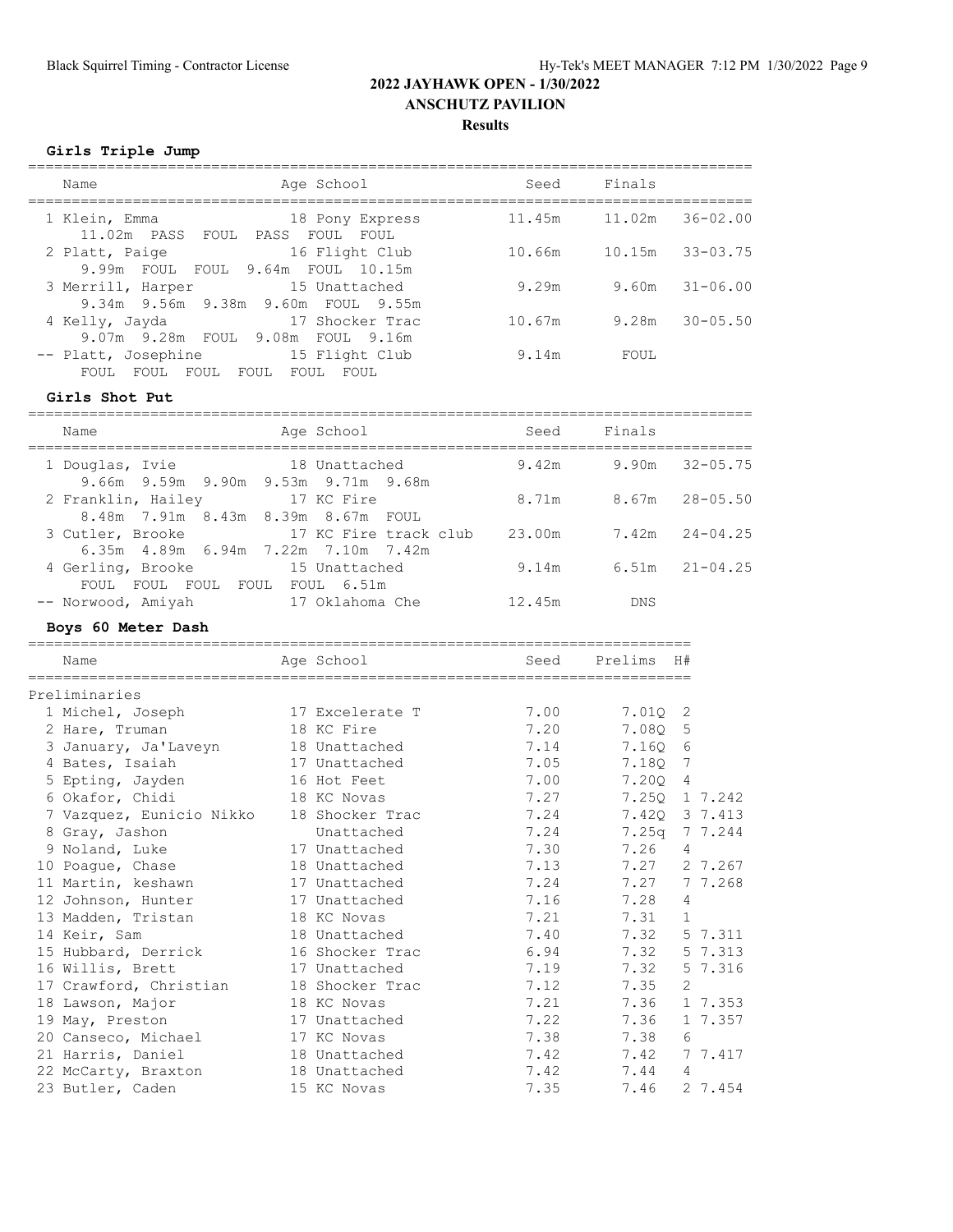**Girls Triple Jump**

| Age School<br>Name                                                                     | Seed   | Finals |                    |
|----------------------------------------------------------------------------------------|--------|--------|--------------------|
| 1 Klein, Emma<br>18 Pony Express<br>11.02m PASS FOUL<br>PASS FOUL<br>FOUL              | 11.45m | 11.02m | $36 - 02.00$       |
| 16 Flight Club<br>2 Platt, Paige<br>9.99m FOUL FOUL<br>9.64m FOUL 10.15m               | 10.66m | 10.15m | $33 - 03.75$       |
| 3 Merrill, Harper<br>15 Unattached<br>9.34m 9.56m 9.38m 9.60m FOUL 9.55m               | 9.29m  |        | $9.60m$ $31-06.00$ |
| 4 Kelly, Jayda<br>17 Shocker Trac<br>9.07m 9.28m FOUL 9.08m FOUL 9.16m                 | 10.67m | 9.28m  | $30 - 05.50$       |
| 15 Flight Club<br>-- Platt, Josephine<br>FOUL<br>FOUL<br>FOUL<br>FOUL<br>FOUL<br>FOUL. | 9.14m  | FOUL   |                    |

**Girls Shot Put**

| Name                                                                |      | Age School             | Seed   | Finals     |                    |
|---------------------------------------------------------------------|------|------------------------|--------|------------|--------------------|
| 1 Douglas, Ivie<br>9.66m 9.59m 9.90m 9.53m 9.71m 9.68m              |      | 18 Unattached          | 9.42m  | 9.90m      | $32 - 05.75$       |
| 2 Franklin, Hailey<br>8.48m 7.91m 8.43m 8.39m 8.67m FOUL            |      | 17 KC Fire             | 8.71m  |            | $8.67m$ $28-05.50$ |
| 3 Cutler, Brooke<br>$6.35m$ $4.89m$ $6.94m$ $7.22m$ $7.10m$ $7.42m$ |      | 17 KC Fire track club  | 23.00m |            | $7.42m$ $24-04.25$ |
| 4 Gerling, Brooke<br>FOUL<br>FOUL<br>FOUL.                          | FOUL | 15 Unattached<br>6.51m | 9.14m  | 6.51m      | $21 - 04.25$       |
| FOUL<br>-- Norwood, Amiyah                                          |      | 17 Oklahoma Che        | 12.45m | <b>DNS</b> |                    |

#### **Boys 60 Meter Dash**

|                                          |            | Prelims H#                                                                                                                                                                   |  |  |  |  |  |
|------------------------------------------|------------|------------------------------------------------------------------------------------------------------------------------------------------------------------------------------|--|--|--|--|--|
|                                          |            |                                                                                                                                                                              |  |  |  |  |  |
| Preliminaries                            |            |                                                                                                                                                                              |  |  |  |  |  |
| 17 Excelerate T                          | 7.00       | 7.010 2                                                                                                                                                                      |  |  |  |  |  |
| 18 KC Fire                               | 7.20       | 7.080 5                                                                                                                                                                      |  |  |  |  |  |
| 3 January, Ja'Laveyn 18 Unattached       |            | 7.160 6                                                                                                                                                                      |  |  |  |  |  |
| 17 Unattached                            |            | 7.180 7                                                                                                                                                                      |  |  |  |  |  |
| 5 Epting, Jayden 16 Hot Feet             |            | 7.200 4                                                                                                                                                                      |  |  |  |  |  |
| 18 KC Novas                              |            | 7.250 1 7.242                                                                                                                                                                |  |  |  |  |  |
| 7 Vazquez, Eunicio Nikko 18 Shocker Trac |            | 7.420 3 7.413                                                                                                                                                                |  |  |  |  |  |
| Unattached                               |            | 7.25q 7 7.244                                                                                                                                                                |  |  |  |  |  |
| 17 Unattached                            |            | 7.26<br>4                                                                                                                                                                    |  |  |  |  |  |
| 18 Unattached                            |            | 7.27 2 7.267                                                                                                                                                                 |  |  |  |  |  |
| 11 Martin, keshawn<br>17 Unattached      |            | 7.27 77.268                                                                                                                                                                  |  |  |  |  |  |
| 12 Johnson, Hunter 17 Unattached         |            | 7.28<br>4                                                                                                                                                                    |  |  |  |  |  |
| 13 Madden, Tristan<br>18 KC Novas        |            | 7.31 1                                                                                                                                                                       |  |  |  |  |  |
| 18 Unattached                            |            | 7.32<br>5 7.311                                                                                                                                                              |  |  |  |  |  |
| 15 Hubbard, Derrick 16 Shocker Trac      |            | 7.32 5 7.313                                                                                                                                                                 |  |  |  |  |  |
| 17 Unattached                            |            | 7.32<br>5 7.316                                                                                                                                                              |  |  |  |  |  |
| 17 Crawford, Christian 18 Shocker Trac   |            | 7.35<br>2                                                                                                                                                                    |  |  |  |  |  |
| 18 KC Novas                              |            | 7.36 1 7.353                                                                                                                                                                 |  |  |  |  |  |
| 17 Unattached                            |            | 7.36<br>1 7.357                                                                                                                                                              |  |  |  |  |  |
| 20 Canseco, Michael<br>17 KC Novas       |            | 7.38<br>6                                                                                                                                                                    |  |  |  |  |  |
| 21 Harris, Daniel<br>18 Unattached       |            | 7.42<br>7 7.417                                                                                                                                                              |  |  |  |  |  |
| 18 Unattached                            |            | 7.44 4                                                                                                                                                                       |  |  |  |  |  |
| 15 KC Novas                              |            | 7.46<br>2 7.454                                                                                                                                                              |  |  |  |  |  |
|                                          | Age School | Seed<br>7.14<br>7.05<br>7.00<br>7.27<br>7.24<br>7.24<br>7.30<br>7.13<br>7.24<br>7.16<br>7.21<br>7.40<br>6.94<br>7.19<br>7.12<br>7.21<br>7.22<br>7.38<br>7.42<br>7.42<br>7.35 |  |  |  |  |  |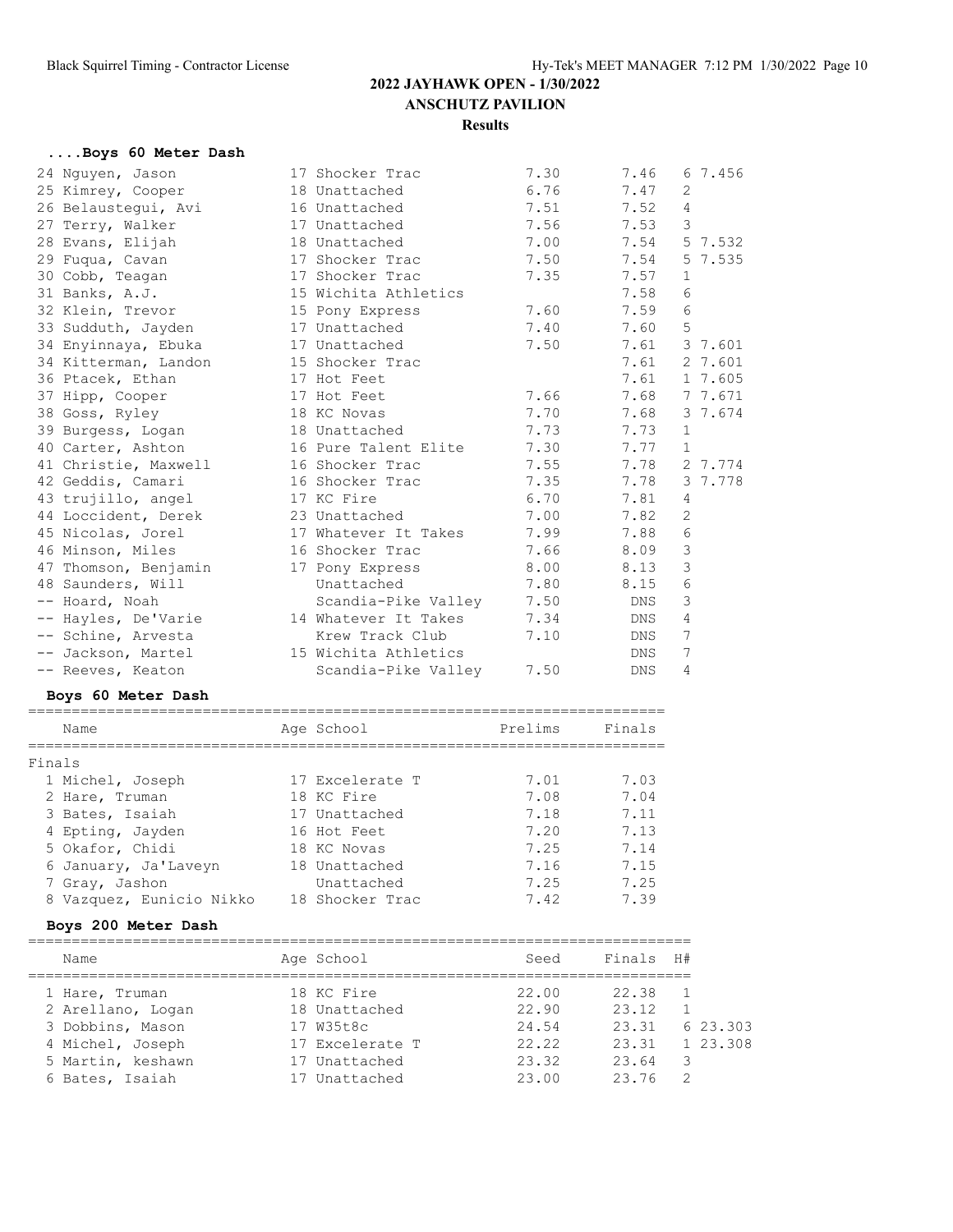## **....Boys 60 Meter Dash**

| 24 Nguyen, Jason     | 17 Shocker Trac      | 7.30 | 7.46       | 67.456       |
|----------------------|----------------------|------|------------|--------------|
| 25 Kimrey, Cooper    | 18 Unattached        | 6.76 | 7.47       | 2            |
| 26 Belaustequi, Avi  | 16 Unattached        | 7.51 | 7.52       | 4            |
| 27 Terry, Walker     | 17 Unattached        | 7.56 | 7.53       | 3            |
| 28 Evans, Elijah     | 18 Unattached        | 7.00 | 7.54       | 5 7.532      |
| 29 Fuqua, Cavan      | 17 Shocker Trac      | 7.50 | 7.54       | 5 7.535      |
| 30 Cobb, Teagan      | 17 Shocker Trac      | 7.35 | 7.57       | $\mathbf{1}$ |
| 31 Banks, A.J.       | 15 Wichita Athletics |      | 7.58       | 6            |
| 32 Klein, Trevor     | 15 Pony Express      | 7.60 | 7.59       | 6            |
| 33 Sudduth, Jayden   | 17 Unattached        | 7.40 | 7.60       | 5            |
| 34 Enyinnaya, Ebuka  | 17 Unattached        | 7.50 | 7.61       | 3 7.601      |
| 34 Kitterman, Landon | 15 Shocker Trac      |      | 7.61       | 2 7.601      |
| 36 Ptacek, Ethan     | 17 Hot Feet          |      | 7.61       | 1 7.605      |
| 37 Hipp, Cooper      | 17 Hot Feet          | 7.66 | 7.68       | 7 7.671      |
| 38 Goss, Ryley       | 18 KC Novas          | 7.70 | 7.68       | 3 7.674      |
| 39 Burgess, Logan    | 18 Unattached        | 7.73 | 7.73       | $\mathbf{1}$ |
| 40 Carter, Ashton    | 16 Pure Talent Elite | 7.30 | 7.77       | 1            |
| 41 Christie, Maxwell | 16 Shocker Trac      | 7.55 | 7.78       | 2 7.774      |
| 42 Geddis, Camari    | 16 Shocker Trac      | 7.35 | 7.78       | 3 7.778      |
| 43 trujillo, angel   | 17 KC Fire           | 6.70 | 7.81       | 4            |
| 44 Loccident, Derek  | 23 Unattached        | 7.00 | 7.82       | 2            |
| 45 Nicolas, Jorel    | 17 Whatever It Takes | 7.99 | 7.88       | $\sqrt{6}$   |
| 46 Minson, Miles     | 16 Shocker Trac      | 7.66 | 8.09       | 3            |
| 47 Thomson, Benjamin | 17 Pony Express      | 8.00 | 8.13       | 3            |
| 48 Saunders, Will    | Unattached           | 7.80 | 8.15       | 6            |
| -- Hoard, Noah       | Scandia-Pike Valley  | 7.50 | DNS        | 3            |
| -- Hayles, De'Varie  | 14 Whatever It Takes | 7.34 | DNS        | 4            |
| -- Schine, Arvesta   | Krew Track Club      | 7.10 | DNS        | 7            |
| -- Jackson, Martel   | 15 Wichita Athletics |      | DNS        | 7            |
| -- Reeves, Keaton    | Scandia-Pike Valley  | 7.50 | <b>DNS</b> | 4            |

#### **Boys 60 Meter Dash**

|        | Name                     | Age School      | Prelims | Finals |
|--------|--------------------------|-----------------|---------|--------|
| Finals |                          |                 |         |        |
|        | 1 Michel, Joseph         | 17 Excelerate T | 7.01    | 7.03   |
|        | 2 Hare, Truman           | 18 KC Fire      | 7.08    | 7.04   |
|        | 3 Bates, Isaiah          | 17 Unattached   | 7.18    | 7.11   |
|        | 4 Epting, Jayden         | 16 Hot Feet     | 7.20    | 7.13   |
|        | 5 Okafor, Chidi          | 18 KC Novas     | 7.25    | 7.14   |
|        | 6 January, Ja'Laveyn     | 18 Unattached   | 7.16    | 7.15   |
|        | 7 Gray, Jashon           | Unattached      | 7.25    | 7.25   |
|        | 8 Vazquez, Eunicio Nikko | 18 Shocker Trac | 7.42    | 7.39   |

## **Boys 200 Meter Dash**

| Name              | Age School      | Seed  | Finals | H# |          |
|-------------------|-----------------|-------|--------|----|----------|
| 1 Hare, Truman    | 18 KC Fire      | 22.00 | 22.38  |    |          |
| 2 Arellano, Logan | 18 Unattached   | 22.90 | 23.12  |    |          |
| 3 Dobbins, Mason  | 17 W35t8c       | 24.54 | 23.31  |    | 6 23 303 |
| 4 Michel, Joseph  | 17 Excelerate T | 22.22 | 23.31  |    | 1 23,308 |
| 5 Martin, keshawn | 17 Unattached   | 23.32 | 23.64  | 3  |          |
| 6 Bates, Isaiah   | 17 Unattached   | 23.00 | 23 76  | 2  |          |
|                   |                 |       |        |    |          |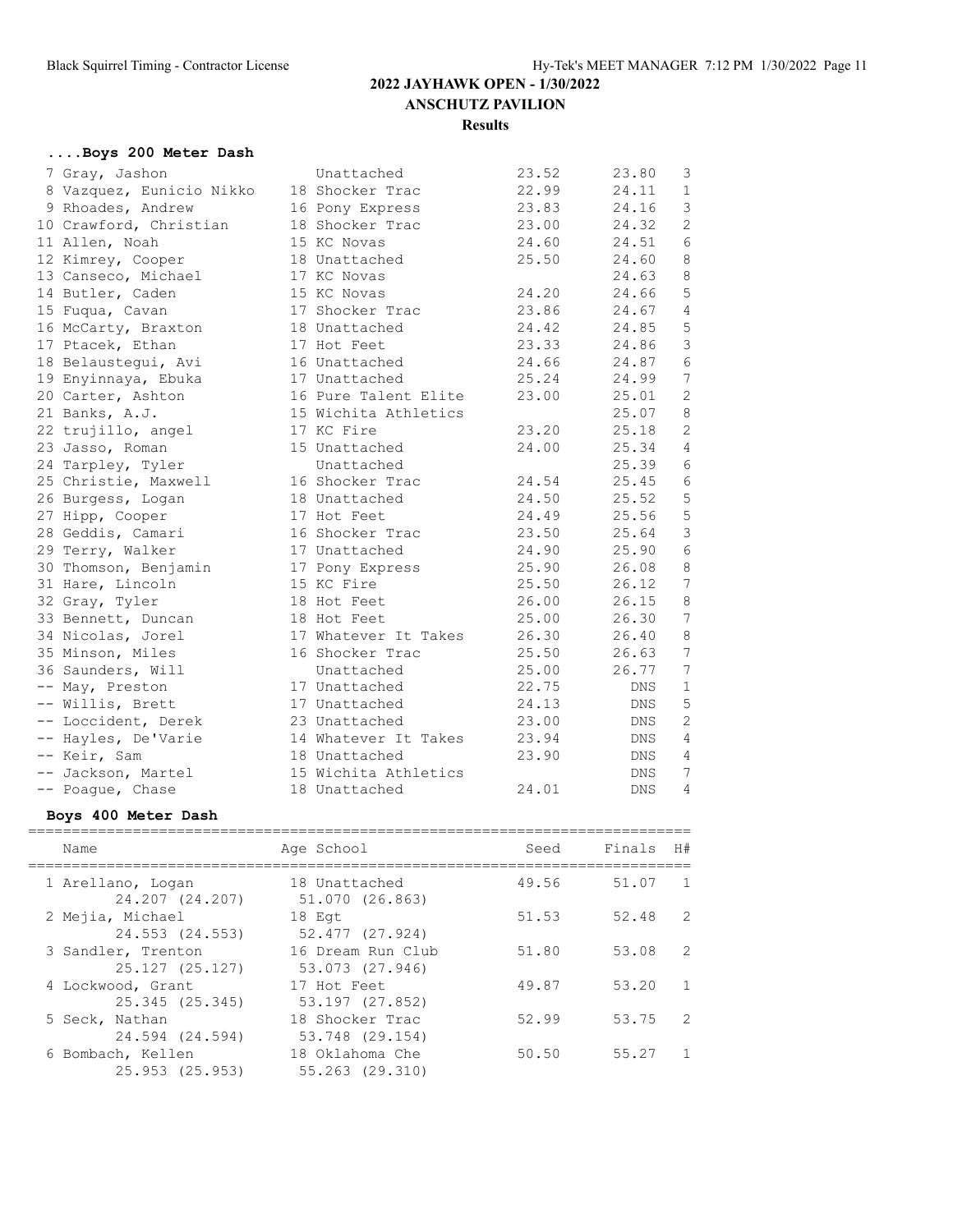## **....Boys 200 Meter Dash**

| 7 Gray, Jashon           | Unattached           | 23.52 | 23.80 | 3              |
|--------------------------|----------------------|-------|-------|----------------|
| 8 Vazquez, Eunicio Nikko | 18 Shocker Trac      | 22.99 | 24.11 | $\mathbf{1}$   |
| 9 Rhoades, Andrew        | 16 Pony Express      | 23.83 | 24.16 | $\mathfrak{Z}$ |
| 10 Crawford, Christian   | 18 Shocker Trac      | 23.00 | 24.32 | $\mathbf{2}$   |
| 11 Allen, Noah           | 15 KC Novas          | 24.60 | 24.51 | 6              |
| 12 Kimrey, Cooper        | 18 Unattached        | 25.50 | 24.60 | 8              |
| 13 Canseco, Michael      | 17 KC Novas          |       | 24.63 | $\,8\,$        |
| 14 Butler, Caden         | 15 KC Novas          | 24.20 | 24.66 | $\mathsf S$    |
| 15 Fuqua, Cavan          | 17 Shocker Trac      | 23.86 | 24.67 | 4              |
| 16 McCarty, Braxton      | 18 Unattached        | 24.42 | 24.85 | $\mathsf S$    |
| 17 Ptacek, Ethan         | 17 Hot Feet          | 23.33 | 24.86 | $\mathfrak{Z}$ |
| 18 Belaustegui, Avi      | 16 Unattached        | 24.66 | 24.87 | $\epsilon$     |
| 19 Enyinnaya, Ebuka      | 17 Unattached        | 25.24 | 24.99 | 7              |
| 20 Carter, Ashton        | 16 Pure Talent Elite | 23.00 | 25.01 | 2              |
| 21 Banks, A.J.           | 15 Wichita Athletics |       | 25.07 | $\,8\,$        |
| 22 trujillo, angel       | 17 KC Fire           | 23.20 | 25.18 | 2              |
| 23 Jasso, Roman          | 15 Unattached        | 24.00 | 25.34 | 4              |
| 24 Tarpley, Tyler        | Unattached           |       | 25.39 | 6              |
| 25 Christie, Maxwell     | 16 Shocker Trac      | 24.54 | 25.45 | $\epsilon$     |
| 26 Burgess, Logan        | 18 Unattached        | 24.50 | 25.52 | $\mathsf S$    |
| 27 Hipp, Cooper          | 17 Hot Feet          | 24.49 | 25.56 | $\mathsf S$    |
| 28 Geddis, Camari        | 16 Shocker Trac      | 23.50 | 25.64 | $\mathcal{S}$  |
| 29 Terry, Walker         | 17 Unattached        | 24.90 | 25.90 | $\sqrt{6}$     |
| 30 Thomson, Benjamin     | 17 Pony Express      | 25.90 | 26.08 | $\,8\,$        |
| 31 Hare, Lincoln         | 15 KC Fire           | 25.50 | 26.12 | 7              |
| 32 Gray, Tyler           | 18 Hot Feet          | 26.00 | 26.15 | 8              |
| 33 Bennett, Duncan       | 18 Hot Feet          | 25.00 | 26.30 | 7              |
| 34 Nicolas, Jorel        | 17 Whatever It Takes | 26.30 | 26.40 | 8              |
| 35 Minson, Miles         | 16 Shocker Trac      | 25.50 | 26.63 | 7              |
| 36 Saunders, Will        | Unattached           | 25.00 | 26.77 | 7              |
| -- May, Preston          | 17 Unattached        | 22.75 | DNS   | $\mathbf{1}$   |
| -- Willis, Brett         | 17 Unattached        | 24.13 | DNS   | 5              |
| -- Loccident, Derek      | 23 Unattached        | 23.00 | DNS   | $\mathbf{2}$   |
| -- Hayles, De'Varie      | 14 Whatever It Takes | 23.94 | DNS   | 4              |
| -- Keir, Sam             | 18 Unattached        | 23.90 | DNS   | 4              |
| -- Jackson, Martel       | 15 Wichita Athletics |       | DNS.  | 7              |
| -- Poaque, Chase         | 18 Unattached        | 24.01 | DNS   | 4              |

#### **Boys 400 Meter Dash**

| Name                                  | Age School                           | Seed  | Finals H# |                |
|---------------------------------------|--------------------------------------|-------|-----------|----------------|
| 1 Arellano, Logan<br>24.207 (24.207)  | 18 Unattached<br>51.070 (26.863)     | 49.56 | 51.07     | $\overline{1}$ |
| 2 Mejia, Michael<br>24.553 (24.553)   | 18 Eqt<br>52.477 (27.924)            | 51.53 | 52.48     | $\overline{2}$ |
| 3 Sandler, Trenton<br>25.127 (25.127) | 16 Dream Run Club<br>53.073 (27.946) | 51.80 | 53.08     | 2              |
| 4 Lockwood, Grant<br>25.345 (25.345)  | 17 Hot Feet<br>53.197 (27.852)       | 49.87 | 53.20     | 1              |
| 5 Seck, Nathan<br>24.594 (24.594)     | 18 Shocker Trac<br>53.748 (29.154)   | 52.99 | 53.75     | 2              |
| 6 Bombach, Kellen<br>25.953 (25.953)  | 18 Oklahoma Che<br>55.263 (29.310)   | 50.50 | 55.27     | $\overline{1}$ |

============================================================================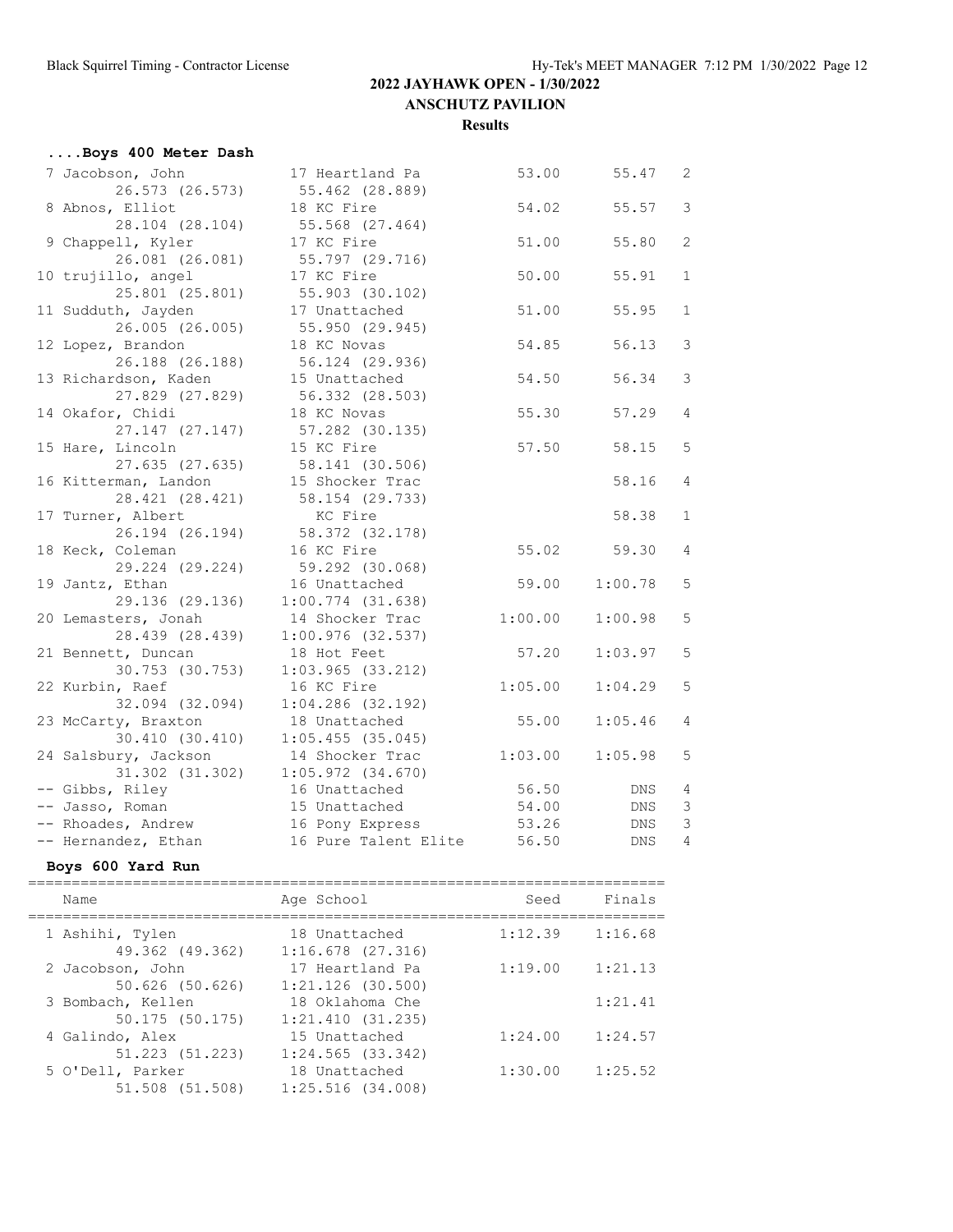| Boys 400 Meter Dash                    |                                      |         |            |                |
|----------------------------------------|--------------------------------------|---------|------------|----------------|
| 7 Jacobson, John                       | 17 Heartland Pa                      | 53.00   | 55.47      | $\overline{c}$ |
| 26.573 (26.573)                        | 55.462 (28.889)                      |         |            |                |
| 8 Abnos, Elliot                        | 18 KC Fire                           | 54.02   | 55.57      | 3              |
| 28.104 (28.104)                        | 55.568 (27.464)                      |         |            |                |
| 9 Chappell, Kyler                      | 17 KC Fire                           | 51.00   | 55.80      | $\overline{2}$ |
| 26.081 (26.081)                        | 55.797 (29.716)                      |         |            |                |
| 10 trujillo, angel                     | 17 KC Fire                           | 50.00   | 55.91      | $\mathbf{1}$   |
| 25.801 (25.801)                        | 55.903 (30.102)                      |         |            |                |
| 11 Sudduth, Jayden                     | 17 Unattached                        | 51.00   | 55.95      | $\mathbf{1}$   |
| 26.005 (26.005)                        | 55.950 (29.945)                      |         |            |                |
| 12 Lopez, Brandon                      | 18 KC Novas                          | 54.85   | 56.13      | 3              |
| 26.188 (26.188)                        | 56.124 (29.936)                      |         |            |                |
| 13 Richardson, Kaden                   | 15 Unattached                        | 54.50   | 56.34      | 3              |
| 27.829 (27.829)                        | 56.332 (28.503)                      |         |            |                |
| 14 Okafor, Chidi                       | 18 KC Novas                          | 55.30   | 57.29      | 4              |
| 27.147 (27.147)                        | 57.282 (30.135)                      |         |            |                |
| 15 Hare, Lincoln                       | 15 KC Fire                           | 57.50   | 58.15      | 5              |
| 27.635 (27.635)                        | 58.141 (30.506)                      |         |            |                |
| 16 Kitterman, Landon                   | 15 Shocker Trac                      |         | 58.16      | 4              |
| 28.421 (28.421)                        | 58.154 (29.733)                      |         |            |                |
| 17 Turner, Albert                      | KC Fire                              |         | 58.38      | $\mathbf{1}$   |
| 26.194 (26.194)                        | 58.372 (32.178)                      |         |            |                |
| 18 Keck, Coleman                       | 16 KC Fire                           | 55.02   | 59.30      | 4              |
| 29.224 (29.224)                        | 59.292 (30.068)                      |         |            |                |
| 19 Jantz, Ethan                        | 16 Unattached                        | 59.00   | 1:00.78    | 5              |
| 29.136 (29.136)                        | $1:00.774$ (31.638)                  |         |            |                |
| 20 Lemasters, Jonah                    | 14 Shocker Trac                      | 1:00.00 | 1:00.98    | 5              |
| 28.439 (28.439)                        | $1:00.976$ (32.537)                  |         |            |                |
| 21 Bennett, Duncan                     | 18 Hot Feet                          | 57.20   | 1:03.97    | 5              |
| 30.753 (30.753)                        | $1:03.965$ $(33.212)$                |         |            |                |
| 22 Kurbin, Raef                        | 16 KC Fire                           | 1:05.00 | 1:04.29    | 5              |
| 32.094 (32.094)                        | $1:04.286$ (32.192)                  |         |            | 4              |
| 23 McCarty, Braxton<br>30.410 (30.410) | 18 Unattached<br>$1:05.455$ (35.045) | 55.00   | 1:05.46    |                |
| 24 Salsbury, Jackson                   | 14 Shocker Trac                      | 1:03.00 | 1:05.98    | 5              |
| 31.302 (31.302)                        | 1:05.972(34.670)                     |         |            |                |
| -- Gibbs, Riley                        | 16 Unattached                        | 56.50   | DNS        | 4              |
| -- Jasso, Roman                        | 15 Unattached                        | 54.00   | DNS        | 3              |
| -- Rhoades, Andrew                     | 16 Pony Express                      | 53.26   | DNS        | 3              |
| -- Hernandez, Ethan                    | 16 Pure Talent Elite                 | 56.50   | <b>DNS</b> | 4              |
|                                        |                                      |         |            |                |

#### **Boys 600 Yard Run**

| Name                                | Age School                             | Seed    | Finals  |
|-------------------------------------|----------------------------------------|---------|---------|
| 1 Ashihi, Tylen<br>49.362 (49.362)  | 18 Unattached<br>$1:16.678$ $(27.316)$ | 1:12.39 | 1:16.68 |
| 2 Jacobson, John<br>50.626 (50.626) | 17 Heartland Pa<br>$1:21.126$ (30.500) | 1:19.00 | 1:21.13 |
| 3 Bombach, Kellen<br>50.175(50.175) | 18 Oklahoma Che<br>1:21.410(31.235)    |         | 1:21.41 |
| 4 Galindo, Alex<br>51.223 (51.223)  | 15 Unattached<br>1:24.565(33.342)      | 1:24.00 | 1:24.57 |
| 5 O'Dell, Parker<br>51.508 (51.508) | 18 Unattached<br>$1:25.516$ $(34.008)$ | 1:30.00 | 1:25.52 |
|                                     |                                        |         |         |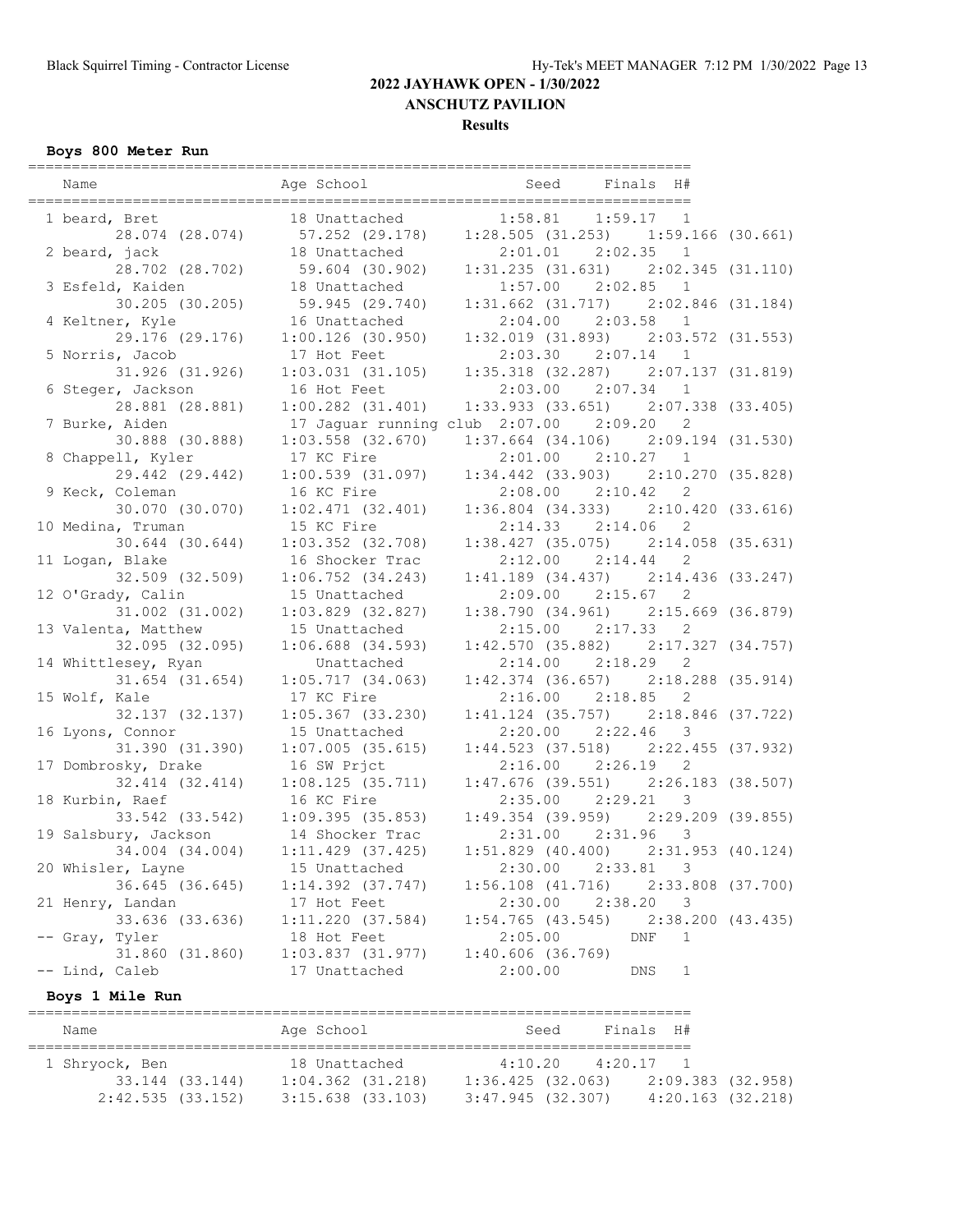#### **Results**

## **Boys 800 Meter Run**

| Name                 | Age School                     | Finals<br>H#<br>Seed                         |
|----------------------|--------------------------------|----------------------------------------------|
| 1 beard, Bret        | 18 Unattached                  | 1:58.81<br>1:59.17<br>$\overline{1}$         |
| 28.074 (28.074)      | 57.252 (29.178)                | $1:28.505$ (31.253) 1:59.166 (30.661)        |
| 2 beard, jack        | 18 Unattached                  | 2:02.35 1<br>2:01.01                         |
| 28.702 (28.702)      | 59.604 (30.902)                | $1:31.235$ (31.631) $2:02.345$ (31.110)      |
| 3 Esfeld, Kaiden     | 18 Unattached                  | 1:57.00<br>2:02.85<br>1                      |
| 30.205 (30.205)      | 59.945 (29.740)                | $1:31.662$ (31.717) $2:02.846$ (31.184)      |
| 4 Keltner, Kyle      | 16 Unattached                  | 2:04.00<br>$2:03.58$ 1                       |
| 29.176 (29.176)      | $1:00.126$ (30.950)            | $1:32.019$ (31.893) $2:03.572$ (31.553)      |
| 5 Norris, Jacob      | 17 Hot Feet                    | $2:03.30$ $2:07.14$ 1                        |
| 31.926 (31.926)      | 1:03.031(31.105)               | $1:35.318$ (32.287) $2:07.137$ (31.819)      |
| 6 Steger, Jackson    | 16 Hot Feet                    | 2:03.00<br>2:07.34<br>$\mathbf{1}$           |
| 28.881 (28.881)      | $1:00.282$ $(31.401)$          | $1:33.933$ (33.651) $2:07.338$ (33.405)      |
| 7 Burke, Aiden       | 17 Jaguar running club 2:07.00 | 2:09.20<br>2                                 |
| 30.888 (30.888)      | $1:03.558$ $(32.670)$          | $1:37.664$ (34.106) $2:09.194$ (31.530)      |
| 8 Chappell, Kyler    | 17 KC Fire                     | $2:01.00$ $2:10.27$ 1                        |
| 29.442 (29.442)      | 1:00.539(31.097)               | $1:34.442$ (33.903)<br>2:10.270(35.828)      |
| 9 Keck, Coleman      | 16 KC Fire                     | $2:08.00$ $2:10.42$<br>2                     |
| 30.070 (30.070)      | $1:02.471$ (32.401)            | $1:36.804$ (34.333) $2:10.420$ (33.616)      |
| 10 Medina, Truman    | 15 KC Fire                     | 2:14.33<br>2:14.06<br>2                      |
| 30.644 (30.644)      | $1:03.352$ $(32.708)$          | $1:38.427$ (35.075) $2:14.058$ (35.631)      |
| 11 Logan, Blake      | 16 Shocker Trac                | $2:12.00$ $2:14.44$<br>2                     |
| 32.509 (32.509)      | $1:06.752$ $(34.243)$          | $1:41.189$ (34.437) $2:14.436$ (33.247)      |
| 12 O'Grady, Calin    | 15 Unattached                  | 2:09.00<br>2:15.67<br>2                      |
| 31.002 (31.002)      | $1:03.829$ $(32.827)$          | $1:38.790$ (34.961) $2:15.669$ (36.879)      |
| 13 Valenta, Matthew  | 15 Unattached                  | 2:15.00<br>2:17.33<br>2                      |
| 32.095 (32.095)      | $1:06.688$ $(34.593)$          | $1:42.570$ (35.882) $2:17.327$ (34.757)      |
| 14 Whittlesey, Ryan  | Unattached                     | 2<br>$2:14.00$ $2:18.29$                     |
| 31.654 (31.654)      | 1:05.717(34.063)               | $1:42.374$ (36.657)<br>$2:18.288$ $(35.914)$ |
| 15 Wolf, Kale        | 17 KC Fire                     | $2:16.00$ $2:18.85$<br>2                     |
| 32.137 (32.137)      | $1:05.367$ (33.230)            | $1:41.124$ (35.757) $2:18.846$ (37.722)      |
| 16 Lyons, Connor     | 15 Unattached                  | 2:20.00<br>2:22.46<br>3                      |
| 31.390 (31.390)      | $1:07.005$ (35.615)            | $1:44.523$ (37.518) $2:22.455$ (37.932)      |
| 17 Dombrosky, Drake  | 16 SW Prjct                    | $2:16.00$ $2:26.19$<br>2                     |
| 32.414 (32.414)      | 1:08.125(35.711)               | $1:47.676$ (39.551) $2:26.183$ (38.507)      |
| 18 Kurbin, Raef      | 16 KC Fire                     | 2:35.00<br>2:29.21<br>3                      |
| 33.542 (33.542)      | 1:09.395(35.853)               | $1:49.354$ (39.959) $2:29.209$ (39.855)      |
| 19 Salsbury, Jackson | 14 Shocker Trac                | 2:31.00 2:31.96<br>3                         |
| 34.004 (34.004)      | $1:11.429$ (37.425)            | $1:51.829$ (40.400) $2:31.953$ (40.124)      |
| 20 Whisler, Layne    | 15 Unattached                  | 2:30.00<br>2:33.81<br>3                      |
| 36.645 (36.645)      | $1:14.392$ $(37.747)$          | $1:56.108$ $(41.716)$<br>2:33.808 (37.700)   |
| 21 Henry, Landan     | 17 Hot Feet                    | 2:30.00<br>2:38.20<br>3                      |
| 33.636 (33.636)      | 1:11.220(37.584)               | $1:54.765$ (43.545)<br>2:38.200(43.435)      |
| -- Gray, Tyler       | 18 Hot Feet                    | 2:05.00<br>DNF<br>1                          |
| 31.860 (31.860)      | 1:03.837(31.977)               | 1:40.606(36.769)                             |
| -- Lind, Caleb       | 17 Unattached                  | 2:00.00<br>$\mathbf{1}$<br>DNS               |
|                      |                                |                                              |

| Name              |                 | Age School            |  | Seed              |             | Finals H#             |  |
|-------------------|-----------------|-----------------------|--|-------------------|-------------|-----------------------|--|
|                   |                 |                       |  |                   |             |                       |  |
| 1 Shryock, Ben    |                 | 18 Unattached         |  | 4:10.20           | $4:20.17$ 1 |                       |  |
|                   | 33.144 (33.144) | $1:04.362$ $(31.218)$ |  | 1:36.425(32.063)  |             | 2:09.383 (32.958)     |  |
| 2:42.535 (33.152) |                 | $3:15.638$ $(33.103)$ |  | 3:47.945 (32.307) |             | $4:20.163$ $(32.218)$ |  |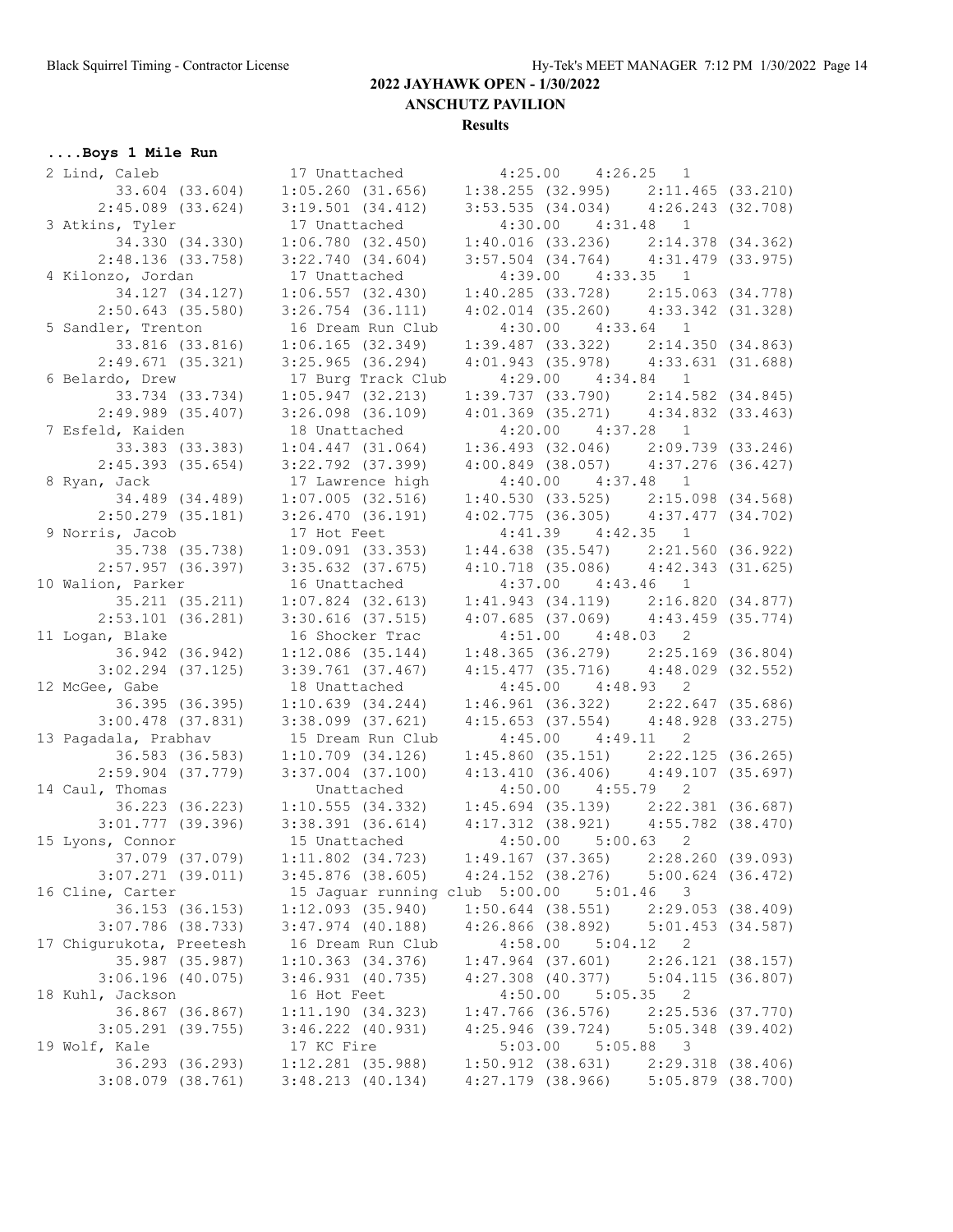**Results**

## **....Boys 1 Mile Run**

| 2 Lind, Caleb            | 17 Unattached 4:25.00 4:26.25 1                                                 |                                                                                    |                       |
|--------------------------|---------------------------------------------------------------------------------|------------------------------------------------------------------------------------|-----------------------|
|                          | 33.604 (33.604) 1:05.260 (31.656)                                               | $1:38.255$ (32.995) $2:11.465$ (33.210)                                            |                       |
| $2:45.089$ (33.624)      | 3:19.501(34.412)                                                                | $3:53.535$ (34.034) $4:26.243$ (32.708)                                            |                       |
| 3 Atkins, Tyler          | 17 Unattached                                                                   | $4:30.00$ $4:31.48$ 1                                                              |                       |
| 34.330 (34.330)          | 1:06.780(32.450)                                                                | $1:40.016$ (33.236) $2:14.378$ (34.362)                                            |                       |
| 2:48.136(33.758)         | 3:22.740(34.604)                                                                | $3:57.504$ $(34.764)$ $4:31.479$ $(33.975)$                                        |                       |
| 4 Kilonzo, Jordan        | 17 Unattached                                                                   | 4:39.00  4:33.35  1                                                                |                       |
| 34.127 (34.127)          | 1:06.557(32.430)                                                                | $1:40.285$ (33.728) $2:15.063$ (34.778)                                            |                       |
| $2:50.643$ (35.580)      | $3:26.754$ $(36.111)$                                                           | $4:02.014$ (35.260) $4:33.342$ (31.328)                                            |                       |
| 5 Sandler, Trenton       | 16 Dream Run Club                                                               | $4:30.00$ $4:33.64$ 1                                                              |                       |
| 33.816 (33.816)          | 1:06.165(32.349)                                                                | $1:39.487$ (33.322) $2:14.350$ (34.863)                                            |                       |
| 2:49.671(35.321)         | 3:25.965(36.294)                                                                | $4:01.943$ (35.978) $4:33.631$ (31.688)                                            |                       |
| 6 Belardo, Drew          | 17 Burg Track Club                                                              | $4:29.00$ $4:34.84$                                                                | $\mathbf{1}$          |
| 33.734 (33.734)          | $1:05.947$ (32.213)                                                             | $1:39.737$ (33.790) $2:14.582$ (34.845)                                            |                       |
| $2:49.989$ (35.407)      | $3:26.098$ $(36.109)$                                                           | $4:01.369$ (35.271) $4:34.832$ (33.463)                                            |                       |
| 7 Esfeld, Kaiden         | 18 Unattached                                                                   | $4:20.00$ $4:37.28$ 1                                                              |                       |
| 33.383 (33.383)          | $1:04.447$ $(31.064)$                                                           | $1:36.493$ (32.046) $2:09.739$ (33.246)                                            |                       |
| $2:45.393$ (35.654)      | $3:22.792$ $(37.399)$                                                           | $4:00.849$ (38.057) $4:37.276$ (36.427)                                            |                       |
| 8 Ryan, Jack             | 17 Lawrence high                                                                | $4:40.00$ $4:37.48$                                                                | $\mathbf{1}$          |
| 34.489 (34.489)          | 1:07.005(32.516)                                                                | $1:40.530$ (33.525) $2:15.098$ (34.568)                                            |                       |
| $2:50.279$ (35.181)      | 3:26.470(36.191)                                                                | $4:02.775$ (36.305) $4:37.477$ (34.702)                                            |                       |
| 9 Norris, Jacob          | 17 Hot Feet                                                                     | $4:41.39$ $4:42.35$ 1                                                              |                       |
| 35.738 (35.738)          | $1:09.091$ (33.353)                                                             | $1:44.638$ (35.547) $2:21.560$ (36.922)                                            |                       |
| 2:57.957(36.397)         | $3:35.632$ $(37.675)$                                                           | $4:10.718$ (35.086) $4:42.343$ (31.625)                                            |                       |
|                          |                                                                                 |                                                                                    |                       |
| 10 Walion, Parker        | 16 Unattached                                                                   | $4:37.00$ $4:43.46$                                                                | $\mathbf{1}$          |
| 35.211 (35.211)          | $1:07.824$ (32.613)                                                             | $1:41.943$ (34.119) $2:16.820$ (34.877)                                            |                       |
| $2:53.101$ (36.281)      | 3:30.616(37.515)                                                                | $4:07.685$ (37.069) $4:43.459$ (35.774)                                            |                       |
| 11 Logan, Blake          | 16 Shocker Trac                                                                 | $4:51.00$ $4:48.03$ 2                                                              |                       |
| 36.942 (36.942)          | $1:12.086$ (35.144)                                                             | $1:48.365$ (36.279) $2:25.169$ (36.804)<br>$4:15.477$ (35.716) $4:48.029$ (32.552) |                       |
| $3:02.294$ (37.125)      | 3:39.761(37.467)                                                                |                                                                                    |                       |
| 12 McGee, Gabe           | 18 Unattached                                                                   | $4:45.00$ $4:48.93$ 2                                                              |                       |
| 36.395 (36.395)          | 1:10.639(34.244)                                                                | $1:46.961$ (36.322) $2:22.647$ (35.686)                                            |                       |
| $3:00.478$ (37.831)      | 3:38.099 (37.621)                                                               | $4:15.653$ (37.554) $4:48.928$ (33.275)                                            |                       |
| 13 Pagadala, Prabhav     | 15 Dream Run Club                                                               | $4:45.00$ $4:49.11$ 2                                                              |                       |
| 36.583 (36.583)          | $1:10.709$ $(34.126)$                                                           | $1:45.860$ (35.151) $2:22.125$ (36.265)                                            |                       |
| 2:59.904(37.779)         | $3:37.004$ $(37.100)$                                                           | $4:13.410$ (36.406) $4:49.107$ (35.697)                                            |                       |
| 14 Caul, Thomas          | Unattached                                                                      | $4:50.00$ $4:55.79$                                                                | 2                     |
|                          | 36.223 (36.223) 1:10.555 (34.332) 1:45.694 (35.139) 2:22.381 (36.687)           |                                                                                    |                       |
|                          | $3:01.777$ (39.396) $3:38.391$ (36.614) $4:17.312$ (38.921) $4:55.782$ (38.470) |                                                                                    |                       |
| 15 Lyons, Connor         | 15 Unattached 4:50.00 5:00.63 2<br>1:11.802 (34.723) 1:49.167 (37.365) 2:28.    |                                                                                    |                       |
| 37.079 (37.079)          |                                                                                 | $1:49.167$ (37.365) $2:28.260$ (39.093)                                            |                       |
| $3:07.271$ (39.011)      | $3:45.876$ (38.605)                                                             | $4:24.152$ $(38.276)$                                                              | $5:00.624$ (36.472)   |
| 16 Cline, Carter         | 15 Jaguar running club 5:00.00                                                  | 5:01.46                                                                            | 3                     |
| 36.153 (36.153)          | 1:12.093(35.940)                                                                | $1:50.644$ (38.551)                                                                | 2:29.053(38.409)      |
| $3:07.786$ (38.733)      | $3:47.974$ (40.188)                                                             | $4:26.866$ (38.892)                                                                | $5:01.453$ $(34.587)$ |
| 17 Chigurukota, Preetesh | 16 Dream Run Club                                                               | 4:58.00<br>5:04.12                                                                 | $\overline{c}$        |
| 35.987 (35.987)          | $1:10.363$ $(34.376)$                                                           | $1:47.964$ (37.601)                                                                | $2:26.121$ (38.157)   |
| 3:06.196(40.075)         | $3:46.931$ $(40.735)$                                                           | $4:27.308$ $(40.377)$                                                              | 5:04.115(36.807)      |
| 18 Kuhl, Jackson         | 16 Hot Feet                                                                     | 4:50.00<br>5:05.35                                                                 | $\overline{c}$        |
| 36.867 (36.867)          | 1:11.190(34.323)                                                                | $1:47.766$ (36.576)                                                                | $2:25.536$ (37.770)   |
| $3:05.291$ (39.755)      | $3:46.222$ $(40.931)$                                                           | $4:25.946$ (39.724)                                                                | $5:05.348$ (39.402)   |
| 19 Wolf, Kale            | 17 KC Fire                                                                      | 5:03.00                                                                            | $5:05.88$ 3           |
| 36.293 (36.293)          | 1:12.281 (35.988)                                                               | $1:50.912$ (38.631)                                                                | $2:29.318$ (38.406)   |
| $3:08.079$ (38.761)      | 3:48.213(40.134)                                                                | $4:27.179$ (38.966)                                                                | $5:05.879$ (38.700)   |
|                          |                                                                                 |                                                                                    |                       |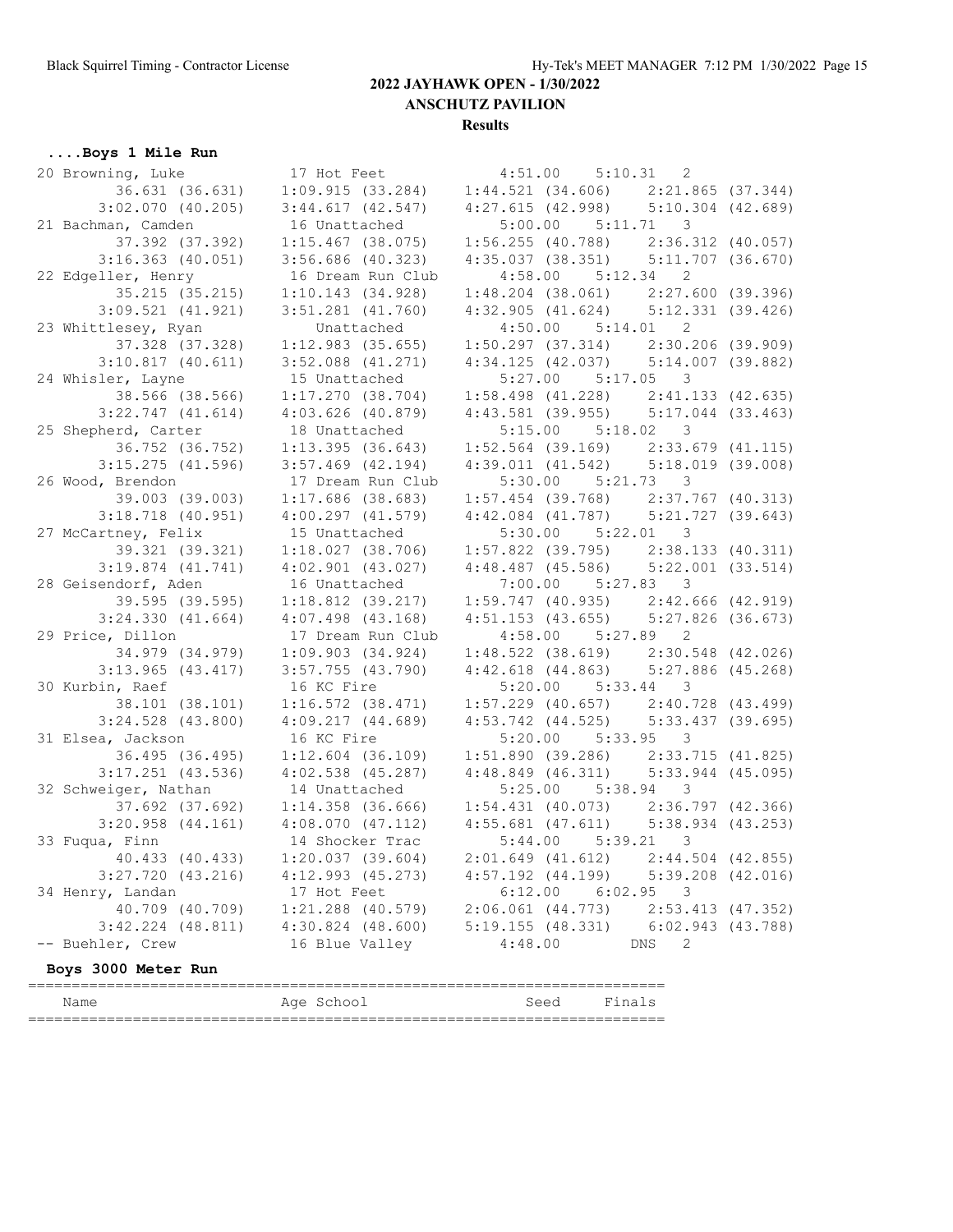**Results**

# **....Boys 1 Mile Run**

|                       | 20 Browning, Luke 17 Hot Feet | $4:51.00$ $5:10.31$ 2                                                                                                                                                |                   |  |  |  |
|-----------------------|-------------------------------|----------------------------------------------------------------------------------------------------------------------------------------------------------------------|-------------------|--|--|--|
|                       |                               | $36.631$ (36.631) 1:09.915 (33.284) 1:44.521 (34.606) 2:21.865 (37.344)                                                                                              |                   |  |  |  |
| $3:02.070$ (40.205)   |                               | $3:44.617$ (42.547) $4:27.615$ (42.998) $5:10.304$ (42.689)                                                                                                          |                   |  |  |  |
| 21 Bachman, Camden    | 16 Unattached                 | $5:00.00$ $5:11.71$ 3                                                                                                                                                |                   |  |  |  |
| 37.392 (37.392)       | $1:15.467$ (38.075)           |                                                                                                                                                                      |                   |  |  |  |
| $3:16.363$ (40.051)   | $3:56.686$ (40.323)           | 1:56.255 (40.788) 2:36.312 (40.057)<br>4:35.037 (38.351) 5:11.707 (36.670)                                                                                           |                   |  |  |  |
| 22 Edgeller, Henry    | 16 Dream Run Club             | $4:58.00$ $5:12.34$ 2                                                                                                                                                |                   |  |  |  |
| 35.215 (35.215)       | 1:10.143(34.928)              | $1:48.204$ (38.061) $2:27.600$ (39.396)                                                                                                                              |                   |  |  |  |
| $3:09.521$ $(41.921)$ | $3:51.281$ $(41.760)$         | $4:32.905$ $(41.624)$ $5:12.331$ $(39.426)$                                                                                                                          |                   |  |  |  |
| 23 Whittlesey, Ryan   | Unattached                    | $4:50.00$ $5:14.01$ 2                                                                                                                                                |                   |  |  |  |
| 37.328 (37.328)       | 1:12.983(35.655)              |                                                                                                                                                                      |                   |  |  |  |
| $3:10.817$ (40.611)   | $3:52.088$ $(41.271)$         | 1:50.297 (37.314) 2:30.206 (39.909)<br>4:34.125 (42.037) 5:14.007 (39.882)                                                                                           |                   |  |  |  |
| 24 Whisler, Layne     | 15 Unattached                 | $5:27.00$ $5:17.05$ 3                                                                                                                                                |                   |  |  |  |
| 38.566 (38.566)       |                               | $1:17.270$ (38.704) $1:58.498$ (41.228) $2:41.133$ (42.635)                                                                                                          |                   |  |  |  |
| $3:22.747$ $(41.614)$ | $4:03.626$ (40.879)           | 4:43.581 (39.955) 5:17.044 (33.463)                                                                                                                                  |                   |  |  |  |
| 25 Shepherd, Carter   | 18 Unattached                 | $5:15.00$ $5:18.02$ 3                                                                                                                                                |                   |  |  |  |
| 36.752 (36.752)       | 1:13.395(36.643)              |                                                                                                                                                                      |                   |  |  |  |
| $3:15.275$ (41.596)   | $3:57.469$ $(42.194)$         | $1:52.564$ (39.169) $2:33.679$ (41.115)<br>4:39.011 (41.542) 5:18.019 (39.008)                                                                                       |                   |  |  |  |
| 26 Wood, Brendon      | 17 Dream Run Club             | $5:30.00$ $5:21.73$ 3                                                                                                                                                |                   |  |  |  |
| 39.003 (39.003)       | $1:17.686$ (38.683)           | $1:57.454$ (39.768) $2:37.767$ (40.313)                                                                                                                              |                   |  |  |  |
| $3:18.718$ (40.951)   | 4:00.297(41.579)              | $4:42.084$ (41.787) $5:21.727$ (39.643)                                                                                                                              |                   |  |  |  |
| 27 McCartney, Felix   | 15 Unattached                 | $5:30.00$ $5:22.01$ 3                                                                                                                                                |                   |  |  |  |
| 39.321 (39.321)       |                               |                                                                                                                                                                      |                   |  |  |  |
| $3:19.874$ $(41.741)$ | $4:02.901$ $(43.027)$         | $\begin{array}{cccc} 1:18.027 & (38.706) & 1:57.822 & (39.795) & 2:38.133 & (40.311) \\ 4:02.901 & (43.027) & 4:48.487 & (45.586) & 5:22.001 & (33.514) \end{array}$ |                   |  |  |  |
| 28 Geisendorf, Aden   | 16 Unattached                 | $7:00.00$ $5:27.83$ 3                                                                                                                                                |                   |  |  |  |
| 39.595 (39.595)       | $1:18.812$ (39.217)           | $1:59.747$ (40.935) $2:42.666$ (42.919)                                                                                                                              |                   |  |  |  |
| 3:24.330(41.664)      | $4:07.498$ $(43.168)$         | $4:51.153$ (43.655) $5:27.826$ (36.673)                                                                                                                              |                   |  |  |  |
| 29 Price, Dillon      | 17 Dream Run Club             | $4:58.00$ $5:27.89$ 2                                                                                                                                                |                   |  |  |  |
| 34.979 (34.979)       | 1:09.903(34.924)              |                                                                                                                                                                      |                   |  |  |  |
| $3:13.965$ (43.417)   | $3:57.755$ (43.790)           | $\begin{array}{lllll} 1:48.522&(38.619) & 2:30.548&(42.026) \\ 4:42.618&(44.863) & 5:27.886&(45.268) \end{array}$                                                    |                   |  |  |  |
| 30 Kurbin, Raef       | 16 KC Fire                    | $5:20.00$ $5:33.44$ 3                                                                                                                                                |                   |  |  |  |
| 38.101 (38.101)       | $1:16.572$ $(38.471)$         | $1:57.229$ (40.657) $2:40.728$ (43.499)                                                                                                                              |                   |  |  |  |
| $3:24.528$ (43.800)   | 4:09.217(44.689)              | 4:53.742 (44.525) 5:33.437 (39.695)                                                                                                                                  |                   |  |  |  |
| 31 Elsea, Jackson     | 16 KC Fire                    | $5:20.00$ $5:33.95$ 3                                                                                                                                                |                   |  |  |  |
| 36.495 (36.495)       | $1:12.604$ (36.109)           |                                                                                                                                                                      |                   |  |  |  |
| $3:17.251$ (43.536)   | $4:02.538$ (45.287)           | 1:51.890 (39.286) 2:33.715 (41.825)<br>4:48.849 (46.311) 5:33.944 (45.095)                                                                                           |                   |  |  |  |
| 32 Schweiger, Nathan  | 14 Unattached                 | $5:25.00$ $5:38.94$ 3                                                                                                                                                |                   |  |  |  |
| 37.692 (37.692)       |                               | $1:14.358$ (36.666) $1:54.431$ (40.073) $2:36.797$ (42.366)                                                                                                          |                   |  |  |  |
| $3:20.958$ $(44.161)$ |                               | $4:08.070$ (47.112) $4:55.681$ (47.611) $5:38.934$ (43.253)                                                                                                          |                   |  |  |  |
| 33 Fuqua, Finn        | 14 Shocker Trac               | $5:44.00$ $5:39.21$ 3                                                                                                                                                |                   |  |  |  |
| 40.433 (40.433)       | 1:20.037(39.604)              | $2:01.649$ (41.612) $2:44.504$ (42.855)                                                                                                                              |                   |  |  |  |
| $3:27.720$ $(43.216)$ | $4:12.993$ $(45.273)$         | $4:57.192$ $(44.199)$ $5:39.208$ $(42.016)$                                                                                                                          |                   |  |  |  |
| 34 Henry, Landan      | 17 Hot Feet                   | 6:12.00<br>6:02.95                                                                                                                                                   | $\mathcal{E}$     |  |  |  |
| 40.709 (40.709)       | $1:21.288$ (40.579)           | $2:06.061$ (44.773) $2:53.413$ (47.352)                                                                                                                              |                   |  |  |  |
| $3:42.224$ $(48.811)$ | $4:30.824$ $(48.600)$         | 5:19.155(48.331)                                                                                                                                                     | 6:02.943 (43.788) |  |  |  |
| -- Buehler, Crew      | 16 Blue Valley                | 4:48.00<br>DNS                                                                                                                                                       | 2                 |  |  |  |
| Boys 3000 Meter Run   |                               |                                                                                                                                                                      |                   |  |  |  |

| Name      | Aqe<br>chool<br>$\sim$ ( | $S^{\triangle}$<br>しししひ | n a<br>یے ،<br>. |  |  |
|-----------|--------------------------|-------------------------|------------------|--|--|
| __<br>___ |                          |                         |                  |  |  |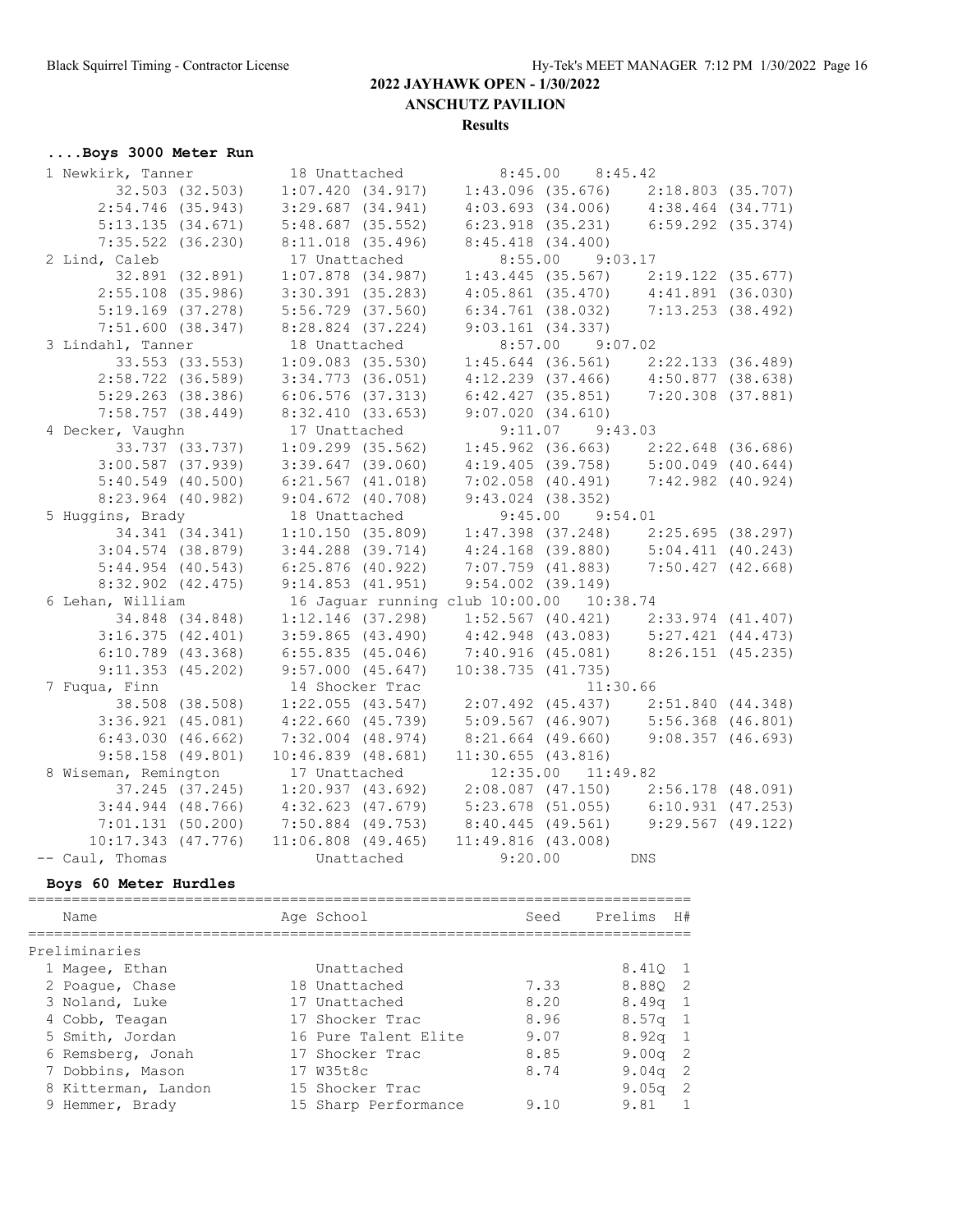#### **Results**

## **....Boys 3000 Meter Run**

| 1 Newkirk, Tanner     | 18 Unattached                             | $8:45.00$ $8:45.42$                                                                                                                                                          |  |
|-----------------------|-------------------------------------------|------------------------------------------------------------------------------------------------------------------------------------------------------------------------------|--|
| 32.503 (32.503)       |                                           | $1:07.420$ (34.917) $1:43.096$ (35.676) $2:18.803$ (35.707)                                                                                                                  |  |
| $2:54.746$ (35.943)   | $3:29.687$ $(34.941)$                     | $4:03.693$ (34.006) $4:38.464$ (34.771)                                                                                                                                      |  |
| 5:13.135(34.671)      | $5:48.687$ (35.552)                       | 6:23.918 (35.231) 6:59.292 (35.374)                                                                                                                                          |  |
| $7:35.522$ (36.230)   | $8:11.018$ (35.496)                       | 8:45.418(34.400)                                                                                                                                                             |  |
| 2 Lind, Caleb         | 17 Unattached                             | 8:55.00 9:03.17                                                                                                                                                              |  |
| 32.891 (32.891)       | $1:07.878$ (34.987)                       | $1:43.445$ (35.567) $2:19.122$ (35.677)                                                                                                                                      |  |
| $2:55.108$ (35.986)   | $3:30.391$ (35.283)                       | $4:05.861$ (35.470) $4:41.891$ (36.030)                                                                                                                                      |  |
| $5:19.169$ (37.278)   | 5:56.729 (37.560)                         | 6:34.761 (38.032) 7:13.253 (38.492)                                                                                                                                          |  |
| 7:51.600(38.347)      | 8:28.824 (37.224)                         | $9:03.161$ (34.337)                                                                                                                                                          |  |
| 3 Lindahl, Tanner     | 18 Unattached                             | $8:57.00$ $9:07.02$                                                                                                                                                          |  |
| 33.553 (33.553)       | $1:09.083$ (35.530)                       | $1:45.644$ (36.561) $2:22.133$ (36.489)                                                                                                                                      |  |
| $2:58.722$ (36.589)   | $3:34.773$ $(36.051)$                     | $4:12.239$ (37.466) $4:50.877$ (38.638)                                                                                                                                      |  |
| $5:29.263$ (38.386)   | $6:06.576$ (37.313)                       | $6:42.427$ (35.851) 7:20.308 (37.881)                                                                                                                                        |  |
| $7:58.757$ (38.449)   | 8:32.410(33.653)                          | 9:07.020(34.610)                                                                                                                                                             |  |
| 4 Decker, Vaughn      | 17 Unattached                             | $9:11.07$ $9:43.03$                                                                                                                                                          |  |
| 33.737 (33.737)       | $1:09.299$ $(35.562)$                     | $1:45.962$ (36.663) $2:22.648$ (36.686)                                                                                                                                      |  |
| $3:00.587$ (37.939)   | $3:39.647$ (39.060)                       | $4:19.405$ (39.758) $5:00.049$ (40.644)                                                                                                                                      |  |
| $5:40.549$ (40.500)   | $6:21.567$ $(41.018)$                     | $7:02.058$ (40.491) $7:42.982$ (40.924)                                                                                                                                      |  |
| $8:23.964$ (40.982)   | $9:04.672$ (40.708)                       | $9:43.024$ (38.352)                                                                                                                                                          |  |
| 5 Huggins, Brady      | 18 Unattached                             | $9:45.00$ $9:54.01$                                                                                                                                                          |  |
| 34.341 (34.341)       | 1:10.150(35.809)                          | $\begin{array}{lllll} 1:47.398 & (37.248) & & 2:25.695 & (38.297) \\ 4:24.168 & (39.880) & & 5:04.411 & (40.243) \\ 7:07.759 & (41.883) & & 7:50.427 & (42.668) \end{array}$ |  |
| $3:04.574$ (38.879)   | $3:44.288$ (39.714)                       |                                                                                                                                                                              |  |
| $5:44.954$ (40.543)   | $6:25.876$ (40.922)                       |                                                                                                                                                                              |  |
| $8:32.902$ $(42.475)$ | 9:14.853(41.951)                          | $9:54.002$ $(39.149)$                                                                                                                                                        |  |
| 6 Lehan, William      |                                           | 16 Jaquar running club 10:00.00 10:38.74                                                                                                                                     |  |
| 34.848 (34.848)       | $1:12.146$ (37.298)                       | $1:52.567$ (40.421) $2:33.974$ (41.407)                                                                                                                                      |  |
| 3:16.375(42.401)      | $3:59.865$ (43.490)                       | 4:42.948 (43.083) 5:27.421 (44.473)<br>7:40.916 (45.081) 8:26.151 (45.235)                                                                                                   |  |
| $6:10.789$ (43.368)   | 6:55.835(45.046)                          |                                                                                                                                                                              |  |
| $9:11.353$ (45.202)   | $9:57.000$ $(45.647)$                     | 10:38.735(41.735)                                                                                                                                                            |  |
| 7 Fuqua, Finn         | 14 Shocker Trac                           | 11:30.66                                                                                                                                                                     |  |
| 38.508 (38.508)       | $1:22.055$ (43.547)                       | 2:07.492 (45.437) 2:51.840 (44.348)                                                                                                                                          |  |
| $3:36.921$ $(45.081)$ | $4:22.660$ $(45.739)$                     | 5:09.567 (46.907) 5:56.368 (46.801)                                                                                                                                          |  |
| 6:43.030(46.662)      | 7:32.004 (48.974)                         | 8:21.664 (49.660) 9:08.357 (46.693)                                                                                                                                          |  |
| $9:58.158$ (49.801)   | 10:46.839(48.681)                         | $11:30.655$ (43.816)                                                                                                                                                         |  |
| 8 Wiseman, Remington  | 17 Unattached                             | 12:35.00 11:49.82                                                                                                                                                            |  |
|                       |                                           | 37.245 (37.245) 1:20.937 (43.692) 2:08.087 (47.150) 2:56.178 (48.091)                                                                                                        |  |
|                       |                                           | 3:44.944 (48.766) 4:32.623 (47.679) 5:23.678 (51.055) 6:10.931 (47.253)                                                                                                      |  |
|                       |                                           | 7:01.131 (50.200) 7:50.884 (49.753) 8:40.445 (49.561) 9:29.567 (49.122)                                                                                                      |  |
| 10:17.343 (47.776)    | $11:06.808$ (49.465) $11:49.816$ (43.008) |                                                                                                                                                                              |  |
| -- Caul, Thomas       |                                           | Unattached 9:20.00 DNS                                                                                                                                                       |  |

#### **Boys 60 Meter Hurdles**

| Name                | Age School           | Seed | Prelims           | H#             |
|---------------------|----------------------|------|-------------------|----------------|
| Preliminaries       |                      |      |                   |                |
| 1 Magee, Ethan      | Unattached           |      | 8.410 1           |                |
| 2 Poaque, Chase     | 18 Unattached        | 7.33 | 8.880             | - 2            |
| 3 Noland, Luke      | 17 Unattached        | 8.20 | 8.49 <sub>q</sub> | $\overline{1}$ |
| 4 Cobb, Teagan      | 17 Shocker Trac      | 8.96 | 8.57 <sub>q</sub> | $\overline{1}$ |
| 5 Smith, Jordan     | 16 Pure Talent Elite | 9.07 | 8.92 <sub>q</sub> | $\overline{1}$ |
| 6 Remsberg, Jonah   | 17 Shocker Trac      | 8.85 | 9.00 <sub>q</sub> | -2             |
| 7 Dobbins, Mason    | 17 W35t8c            | 8.74 | 9.04 <sub>q</sub> | -2             |
| 8 Kitterman, Landon | 15 Shocker Trac      |      | 9.05 <sub>q</sub> | -2             |
| 9 Hemmer, Brady     | 15 Sharp Performance | 9.10 | 9.81              |                |
|                     |                      |      |                   |                |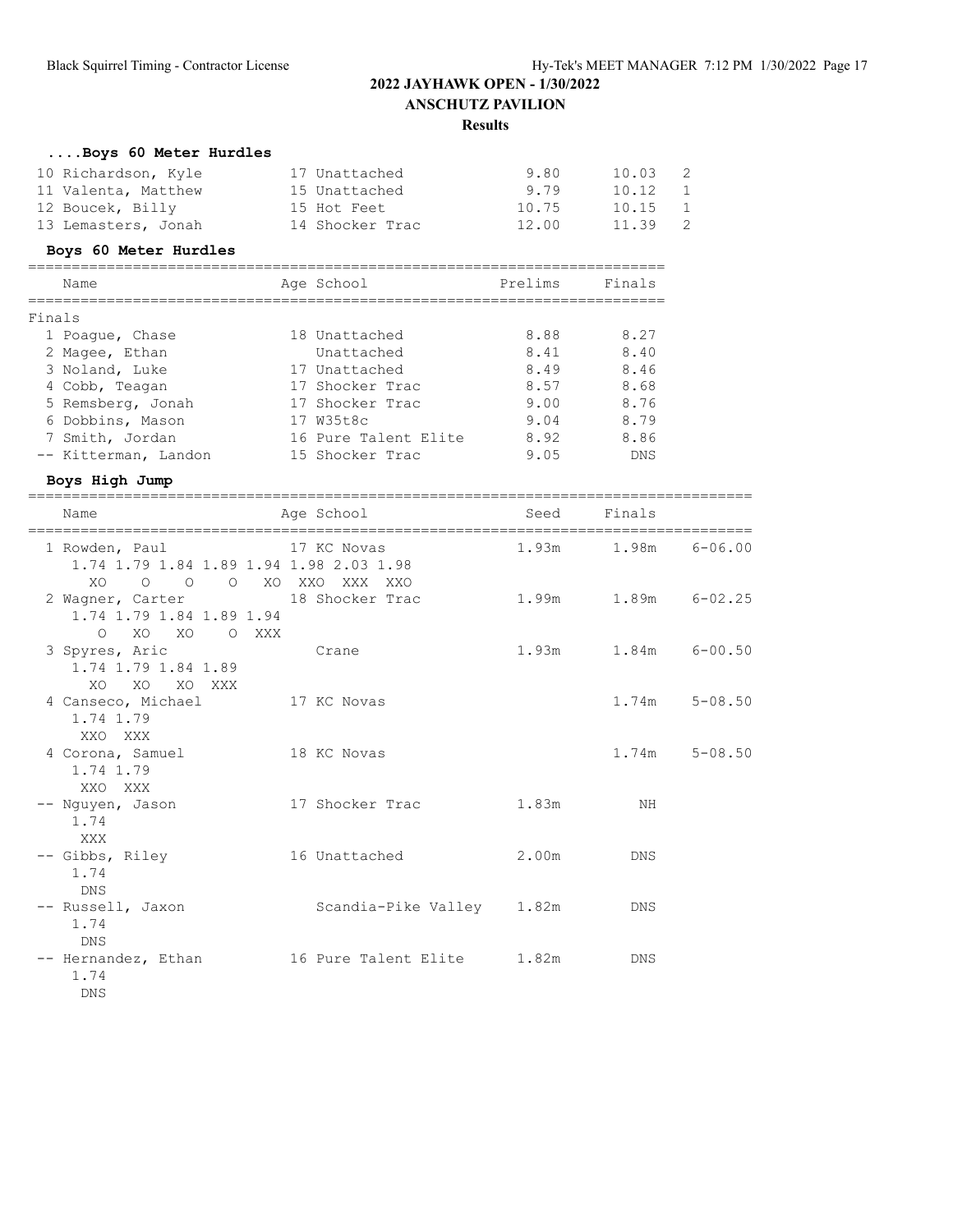## **....Boys 60 Meter Hurdles**

| 10 Richardson, Kyle | 17 Unattached   | 9.80  | 10.03   | <sup>2</sup>   |
|---------------------|-----------------|-------|---------|----------------|
| 11 Valenta, Matthew | 15 Unattached   | 9.79  | 10.12   | $\overline{1}$ |
| 12 Boucek, Billy    | 15 Hot Feet     | 10.75 | 10.15   | $\overline{1}$ |
| 13 Lemasters, Jonah | 14 Shocker Trac | 12.00 | 11.39 2 |                |

#### **Boys 60 Meter Hurdles**

|        | Name                 | Age School           | Prelims | Finals     |
|--------|----------------------|----------------------|---------|------------|
| Finals |                      |                      |         |            |
|        | 1 Poaque, Chase      | 18 Unattached        | 8.88    | 8.27       |
|        | 2 Magee, Ethan       | Unattached           | 8.41    | 8.40       |
|        | 3 Noland, Luke       | 17 Unattached        | 8.49    | 8.46       |
|        | 4 Cobb, Teagan       | 17 Shocker Trac      | 8.57    | 8.68       |
|        | 5 Remsberg, Jonah    | 17 Shocker Trac      | 9.00    | 8.76       |
|        | 6 Dobbins, Mason     | 17 W35t8c            | 9.04    | 8.79       |
|        | 7 Smith, Jordan      | 16 Pure Talent Elite | 8.92    | 8.86       |
|        | -- Kitterman, Landon | 15 Shocker Trac      | 9.05    | <b>DNS</b> |

#### **Boys High Jump**

| Name                                                                                             | Age School                | Seed  | Finals                    |                   |
|--------------------------------------------------------------------------------------------------|---------------------------|-------|---------------------------|-------------------|
| 1 Rowden, Paul 17 KC Novas<br>1.74 1.79 1.84 1.89 1.94 1.98 2.03 1.98<br>XO O O O XO XXO XXX XXO |                           |       | $1.93m$ $1.98m$ $6-06.00$ |                   |
| 2 Wagner, Carter 18 Shocker Trac<br>1.74 1.79 1.84 1.89 1.94<br>O XO XO O XXX                    |                           |       | 1.99m 1.89m 6-02.25       |                   |
| 3 Spyres, Aric<br>1.74 1.79 1.84 1.89<br>XO XO XO XXX                                            | <b>Crane</b>              |       | 1.93m 1.84m 6-00.50       |                   |
| 4 Canseco, Michael 17 KC Novas<br>1.74 1.79<br>XXO XXX                                           |                           |       |                           | $1.74m$ $5-08.50$ |
| 4 Corona, Samuel 18 KC Novas<br>1.74 1.79<br>XXO XXX                                             |                           |       |                           | $1.74m$ $5-08.50$ |
| -- Nguyen, Jason<br>1.74<br>XXX                                                                  | 17 Shocker Trac           | 1.83m | ΝH                        |                   |
| -- Gibbs, Riley<br>1.74<br>DNS                                                                   | 16 Unattached             | 2.00m | <b>DNS</b>                |                   |
| -- Russell, Jaxon<br>1.74<br><b>DNS</b>                                                          | Scandia-Pike Valley 1.82m |       | DNS                       |                   |
| -- Hernandez, Ethan 16 Pure Talent Elite 1.82m<br>1.74<br>DNS                                    |                           |       | <b>DNS</b>                |                   |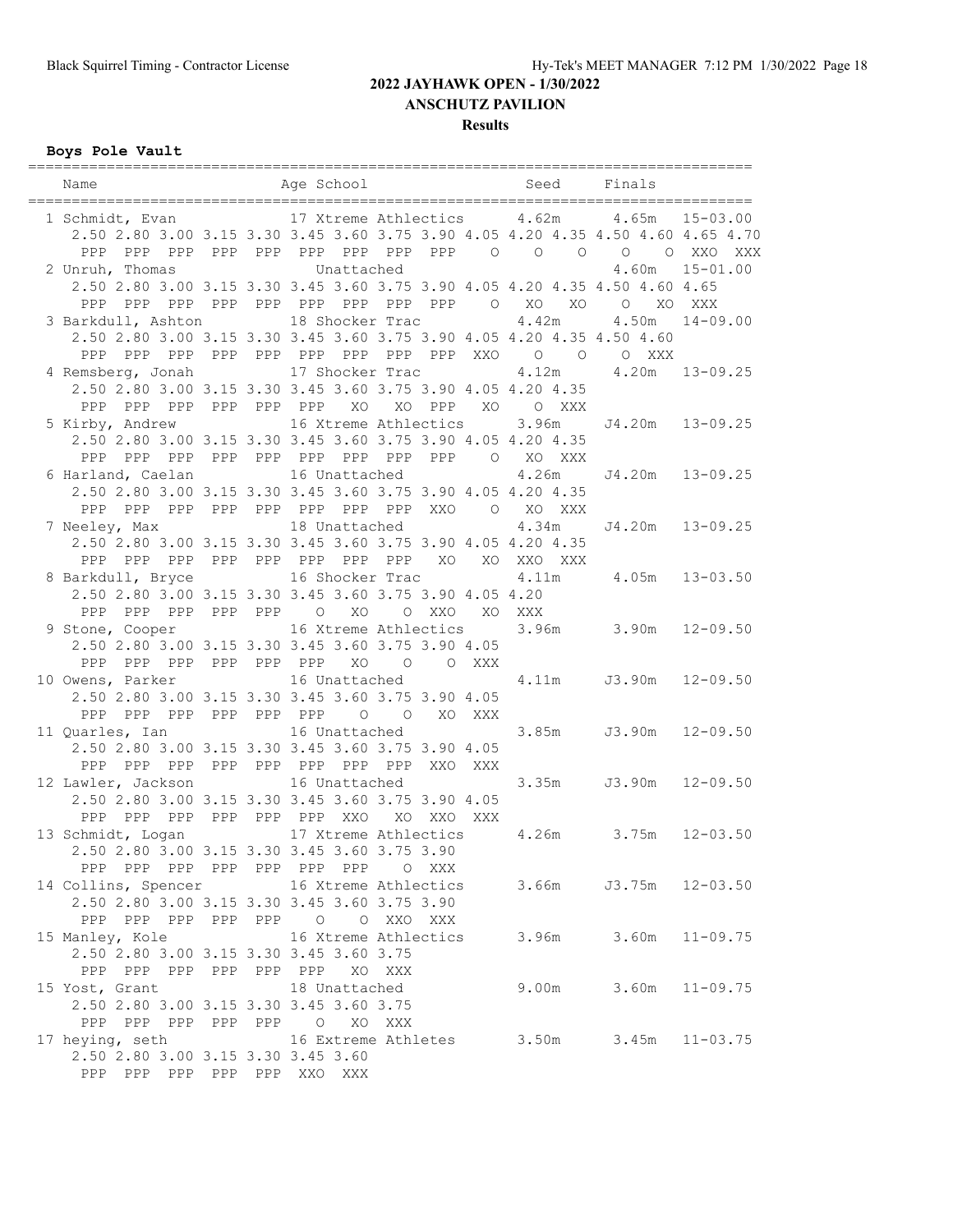**Results**

## **Boys Pole Vault**

| Name<br>_____________________________   | Age School Seed                                                                 |            | Finals                     |                    |
|-----------------------------------------|---------------------------------------------------------------------------------|------------|----------------------------|--------------------|
|                                         | 1 Schmidt, Evan 17 Xtreme Athlectics 4.62m                                      |            | 4.65m                      | $15 - 03.00$       |
|                                         | 2.50 2.80 3.00 3.15 3.30 3.45 3.60 3.75 3.90 4.05 4.20 4.35 4.50 4.60 4.65 4.70 |            |                            |                    |
|                                         | PPP PPP PPP PPP PPP PPP PPP PPP PPP 0 0 0 0 0 XXO XXX                           |            |                            |                    |
| 2 Unruh, Thomas                         | Unattached                                                                      |            | 4.60m                      | $15 - 01.00$       |
|                                         | 2.50 2.80 3.00 3.15 3.30 3.45 3.60 3.75 3.90 4.05 4.20 4.35 4.50 4.60 4.65      |            |                            |                    |
| PPP                                     | PPP PPP PPP PPP PPP PPP PPP PPP O XO                                            | XO         | $\circ$<br>XO              | XXX                |
| 3 Barkdull, Ashton                      | 18 Shocker Trac                                                                 | 4.42m      |                            | $4.50m$ $14-09.00$ |
|                                         | 2.50 2.80 3.00 3.15 3.30 3.45 3.60 3.75 3.90 4.05 4.20 4.35 4.50 4.60           |            |                            |                    |
|                                         |                                                                                 |            |                            |                    |
| 4 Remsberg, Jonah                       | 17 Shocker Trac                                                                 |            | 4.12m 4.20m                | $13 - 09.25$       |
|                                         | 2.50 2.80 3.00 3.15 3.30 3.45 3.60 3.75 3.90 4.05 4.20 4.35                     |            |                            |                    |
| PPP PPP PPP PPP PPP<br>PPP              | XO PPP<br>XO                                                                    | XO O XXX   |                            |                    |
|                                         | 5 Kirby, Andrew 16 Xtreme Athlectics                                            |            | 3.96m J4.20m 13-09.25      |                    |
|                                         | 2.50 2.80 3.00 3.15 3.30 3.45 3.60 3.75 3.90 4.05 4.20 4.35                     |            |                            |                    |
|                                         | PPP PPP PPP PPP PPP PPP PPP PPP PPP                                             | O XO XXX   |                            |                    |
| 6 Harland, Caelan                       | 16 Unattached                                                                   | 4.26m      |                            | J4.20m  13-09.25   |
|                                         | 2.50 2.80 3.00 3.15 3.30 3.45 3.60 3.75 3.90 4.05 4.20 4.35                     |            |                            |                    |
| PPP                                     | PPP PPP PPP PPP PPP PPP PPP XXO                                                 | O XO XXX   |                            |                    |
| 7 Neeley, Max                           | 18 Unattached                                                                   | 4.34m      |                            | J4.20m  13-09.25   |
|                                         | 2.50 2.80 3.00 3.15 3.30 3.45 3.60 3.75 3.90 4.05 4.20 4.35                     |            |                            |                    |
|                                         |                                                                                 |            |                            |                    |
| 8 Barkdull, Bryce                       | 16 Shocker Trac                                                                 | 4.11m      |                            | $4.05m$ $13-03.50$ |
|                                         | 2.50 2.80 3.00 3.15 3.30 3.45 3.60 3.75 3.90 4.05 4.20                          |            |                            |                    |
| PPP PPP PPP PPP 0<br>PPP                | XO<br>O XXO<br>XO                                                               | <b>XXX</b> |                            |                    |
|                                         | 9 Stone, Cooper 16 Xtreme Athlectics 3.96m 3.90m                                |            |                            | $12 - 09.50$       |
|                                         | 2.50 2.80 3.00 3.15 3.30 3.45 3.60 3.75 3.90 4.05                               |            |                            |                    |
| PPP PPP PPP PPP PPP<br>PPP              | XO<br>O O XXX                                                                   |            |                            |                    |
| 10 Owens, Parker                        | 16 Unattached                                                                   |            | 4.11m J3.90m 12-09.50      |                    |
|                                         | 2.50 2.80 3.00 3.15 3.30 3.45 3.60 3.75 3.90 4.05                               |            |                            |                    |
| PPP PPP PPP PPP PPP<br>PPP              | $\overline{\phantom{0}}$<br>$\circ$<br>XO XXX                                   |            |                            |                    |
| 11 Quarles, Ian                         | 16 Unattached<br>2.50 2.80 3.00 3.15 3.30 3.45 3.60 3.75 3.90 4.05              |            | 3.85m J3.90m 12-09.50      |                    |
|                                         | PPP PPP PPP PPP PPP PPP PPP PPP XXO XXX                                         |            |                            |                    |
| 12 Lawler, Jackson                      | 16 Unattached                                                                   |            | 3.35m J3.90m 12-09.50      |                    |
|                                         | 2.50 2.80 3.00 3.15 3.30 3.45 3.60 3.75 3.90 4.05                               |            |                            |                    |
| PPP PPP PPP PPP PPP PPP XXO             | XO<br>XXO XXX                                                                   |            |                            |                    |
|                                         | 13 Schmidt, Logan 17 Xtreme Athlectics                                          |            | $4.26m$ $3.75m$ $12-03.50$ |                    |
|                                         | 2.50 2.80 3.00 3.15 3.30 3.45 3.60 3.75 3.90                                    |            |                            |                    |
|                                         | PPP PPP PPP PPP PPP PPP PPP O XXX                                               |            |                            |                    |
|                                         | 14 Collins, Spencer 16 Xtreme Athlectics 3.66m J3.75m 12-03.50                  |            |                            |                    |
|                                         | 2.50 2.80 3.00 3.15 3.30 3.45 3.60 3.75 3.90                                    |            |                            |                    |
|                                         | PPP PPP PPP PPP PPP 0 0 XXO XXX                                                 |            |                            |                    |
| 15 Manley, Kole                         | 16 Xtreme Athlectics                                                            |            | 3.96m 3.60m 11-09.75       |                    |
| 2.50 2.80 3.00 3.15 3.30 3.45 3.60 3.75 |                                                                                 |            |                            |                    |
| PPP PPP PPP PPP PPP PPP                 | XO XXX                                                                          |            |                            |                    |
| 15 Yost, Grant                          | 18 Unattached                                                                   |            | $9.00m$ $3.60m$ $11-09.75$ |                    |
| 2.50 2.80 3.00 3.15 3.30 3.45 3.60 3.75 |                                                                                 |            |                            |                    |
| PPP PPP PPP PPP PPP 0                   | XO XXX                                                                          |            |                            |                    |
| 17 heying, seth                         | 16 Extreme Athletes 3.50m 3.45m 11-03.75                                        |            |                            |                    |
| 2.50 2.80 3.00 3.15 3.30 3.45 3.60      |                                                                                 |            |                            |                    |
| PPP PPP PPP PPP PPP XXO XXX             |                                                                                 |            |                            |                    |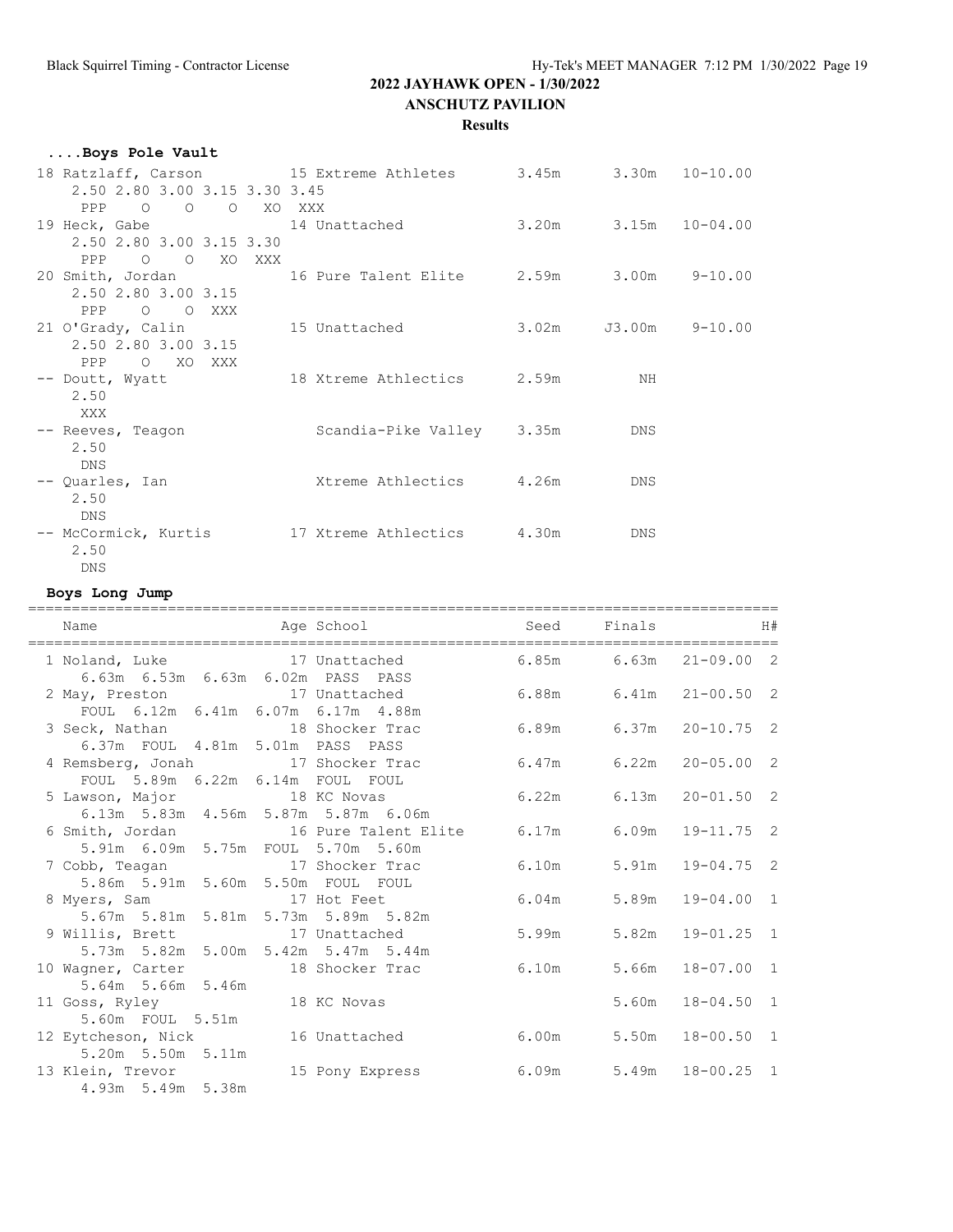#### **Results**

| Boys Pole Vault                                                        |                               |                      |  |
|------------------------------------------------------------------------|-------------------------------|----------------------|--|
| 18 Ratzlaff, Carson 15 Extreme Athletes 3.45m 3.30m 10-10.00           |                               |                      |  |
| 2.50 2.80 3.00 3.15 3.30 3.45                                          |                               |                      |  |
| PPP 0 0 0 XO XXX                                                       |                               |                      |  |
| 19 Heck, Gabe 14 Unattached 3.20m 3.15m 10-04.00                       |                               |                      |  |
| 2.50 2.80 3.00 3.15 3.30                                               |                               |                      |  |
| PPP 0 0 XO XXX                                                         |                               |                      |  |
| 20 Smith, Jordan 16 Pure Talent Elite 2.59m 3.00m 9-10.00              |                               |                      |  |
| 2.50 2.80 3.00 3.15                                                    |                               |                      |  |
| PPP 0 0 XXX                                                            |                               |                      |  |
| 21 O'Grady, Calin 15 Unattached                                        |                               | 3.02m J3.00m 9-10.00 |  |
| 2.50 2.80 3.00 3.15                                                    |                               |                      |  |
| PPP O XO XXX<br>-- Doutt, Wyatt 		 18 Xtreme Athlectics 		 2.59m 		 NH |                               |                      |  |
| 2.50                                                                   |                               |                      |  |
| XXX X                                                                  |                               |                      |  |
| -- Reeves, Teagon                                                      | Scandia-Pike Valley 3.35m DNS |                      |  |
| 2.50                                                                   |                               |                      |  |
| DNS                                                                    |                               |                      |  |
| -- Quarles, Ian                                                        | Xtreme Athlectics 4.26m       | DNS                  |  |
| 2.50                                                                   |                               |                      |  |
| <b>DNS</b>                                                             |                               |                      |  |
|                                                                        |                               | DNS                  |  |
| 2.50                                                                   |                               |                      |  |
| DNS                                                                    |                               |                      |  |

#### **Boys Long Jump**

| Name                                                                                          | Age School and Seed Finals |                        |       |                      | H# |
|-----------------------------------------------------------------------------------------------|----------------------------|------------------------|-------|----------------------|----|
| 1 Noland, Luke 17 Unattached 6.85m 6.63m 21-09.00 2<br>6.63m  6.53m  6.63m  6.02m  PASS  PASS |                            |                        |       |                      |    |
| 2 May, Preston 17 Unattached 6.88m 6.41m 21-00.50 2                                           |                            |                        |       |                      |    |
| FOUL 6.12m 6.41m 6.07m 6.17m 4.88m<br>3 Seck, Nathan 18 Shocker Trac                          |                            | 6.89m 6.37m 20-10.75 2 |       |                      |    |
| 6.37m FOUL 4.81m 5.01m PASS PASS<br>4 Remsberg, Jonah 17 Shocker Trac                         |                            | 6.47m                  |       | $6.22m$ $20-05.00$ 2 |    |
| FOUL 5.89m 6.22m 6.14m FOUL FOUL<br>5 Lawson, Major 18 KC Novas 6.22m                         |                            |                        |       | $6.13m$ $20-01.50$ 2 |    |
| 6.13m 5.83m 4.56m 5.87m 5.87m 6.06m<br>6 Smith, Jordan 16 Pure Talent Elite 6.17m             |                            |                        |       | $6.09m$ $19-11.75$ 2 |    |
| 5.91m 6.09m 5.75m FOUL 5.70m 5.60m<br>7 Cobb, Teagan 17 Shocker Trac                          |                            | 6.10m                  |       | 5.91m  19-04.75  2   |    |
| 5.86m 5.91m 5.60m 5.50m FOUL FOUL<br>8 Myers, Sam 17 Hot Feet                                 |                            | 6.04m                  |       | $5.89m$ $19-04.00$ 1 |    |
| 5.67m 5.81m 5.81m 5.73m 5.89m 5.82m<br>9 Willis, Brett 17 Unattached                          |                            | 5.99m                  |       | $5.82m$ $19-01.25$ 1 |    |
| 5.73m 5.82m 5.00m 5.42m 5.47m 5.44m<br>10 Wagner, Carter 18 Shocker Trac 6.10m                |                            |                        | 5.66m | $18 - 07.00 1$       |    |
| 5.64m 5.66m 5.46m<br>11 Goss, Ryley 18 KC Novas                                               |                            |                        | 5.60m | $18 - 04.50$ 1       |    |
| 5.60m FOUL 5.51m                                                                              |                            |                        |       |                      |    |
| 12 Eytcheson, Nick 16 Unattached<br>5.20m 5.50m 5.11m                                         |                            | 6.00m                  | 5.50m | $18 - 00.50$ 1       |    |
| 13 Klein, Trevor<br>4.93m 5.49m 5.38m                                                         | 15 Pony Express            | 6.09m                  |       | 5.49m 18-00.25 1     |    |